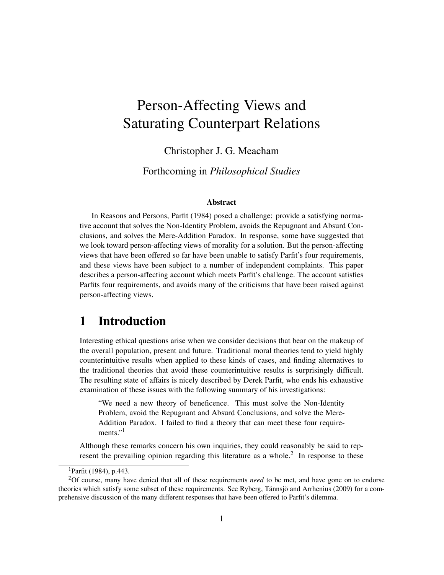# Person-Affecting Views and Saturating Counterpart Relations

Christopher J. G. Meacham

Forthcoming in *Philosophical Studies*

#### Abstract

In Reasons and Persons, Parfit (1984) posed a challenge: provide a satisfying normative account that solves the Non-Identity Problem, avoids the Repugnant and Absurd Conclusions, and solves the Mere-Addition Paradox. In response, some have suggested that we look toward person-affecting views of morality for a solution. But the person-affecting views that have been offered so far have been unable to satisfy Parfit's four requirements, and these views have been subject to a number of independent complaints. This paper describes a person-affecting account which meets Parfit's challenge. The account satisfies Parfits four requirements, and avoids many of the criticisms that have been raised against person-affecting views.

### 1 Introduction

Interesting ethical questions arise when we consider decisions that bear on the makeup of the overall population, present and future. Traditional moral theories tend to yield highly counterintuitive results when applied to these kinds of cases, and finding alternatives to the traditional theories that avoid these counterintuitive results is surprisingly difficult. The resulting state of affairs is nicely described by Derek Parfit, who ends his exhaustive examination of these issues with the following summary of his investigations:

"We need a new theory of beneficence. This must solve the Non-Identity Problem, avoid the Repugnant and Absurd Conclusions, and solve the Mere-Addition Paradox. I failed to find a theory that can meet these four requirements<sup>"1</sup>

Although these remarks concern his own inquiries, they could reasonably be said to represent the prevailing opinion regarding this literature as a whole.<sup>2</sup> In response to these

<sup>1</sup>Parfit (1984), p.443.

<sup>2</sup>Of course, many have denied that all of these requirements *need* to be met, and have gone on to endorse theories which satisfy some subset of these requirements. See Ryberg, Tännsjö and Arrhenius (2009) for a comprehensive discussion of the many different responses that have been offered to Parfit's dilemma.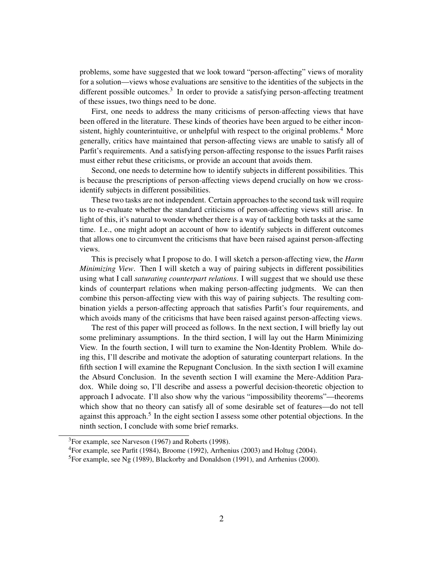problems, some have suggested that we look toward "person-affecting" views of morality for a solution—views whose evaluations are sensitive to the identities of the subjects in the different possible outcomes.<sup>3</sup> In order to provide a satisfying person-affecting treatment of these issues, two things need to be done.

First, one needs to address the many criticisms of person-affecting views that have been offered in the literature. These kinds of theories have been argued to be either inconsistent, highly counterintuitive, or unhelpful with respect to the original problems.<sup>4</sup> More generally, critics have maintained that person-affecting views are unable to satisfy all of Parfit's requirements. And a satisfying person-affecting response to the issues Parfit raises must either rebut these criticisms, or provide an account that avoids them.

Second, one needs to determine how to identify subjects in different possibilities. This is because the prescriptions of person-affecting views depend crucially on how we crossidentify subjects in different possibilities.

These two tasks are not independent. Certain approaches to the second task will require us to re-evaluate whether the standard criticisms of person-affecting views still arise. In light of this, it's natural to wonder whether there is a way of tackling both tasks at the same time. I.e., one might adopt an account of how to identify subjects in different outcomes that allows one to circumvent the criticisms that have been raised against person-affecting views.

This is precisely what I propose to do. I will sketch a person-affecting view, the *Harm Minimizing View*. Then I will sketch a way of pairing subjects in different possibilities using what I call *saturating counterpart relations*. I will suggest that we should use these kinds of counterpart relations when making person-affecting judgments. We can then combine this person-affecting view with this way of pairing subjects. The resulting combination yields a person-affecting approach that satisfies Parfit's four requirements, and which avoids many of the criticisms that have been raised against person-affecting views.

The rest of this paper will proceed as follows. In the next section, I will briefly lay out some preliminary assumptions. In the third section, I will lay out the Harm Minimizing View. In the fourth section, I will turn to examine the Non-Identity Problem. While doing this, I'll describe and motivate the adoption of saturating counterpart relations. In the fifth section I will examine the Repugnant Conclusion. In the sixth section I will examine the Absurd Conclusion. In the seventh section I will examine the Mere-Addition Paradox. While doing so, I'll describe and assess a powerful decision-theoretic objection to approach I advocate. I'll also show why the various "impossibility theorems"—theorems which show that no theory can satisfy all of some desirable set of features—do not tell against this approach.<sup>5</sup> In the eight section I assess some other potential objections. In the ninth section, I conclude with some brief remarks.

<sup>3</sup>For example, see Narveson (1967) and Roberts (1998).

<sup>4</sup>For example, see Parfit (1984), Broome (1992), Arrhenius (2003) and Holtug (2004).

<sup>&</sup>lt;sup>5</sup>For example, see Ng (1989), Blackorby and Donaldson (1991), and Arrhenius (2000).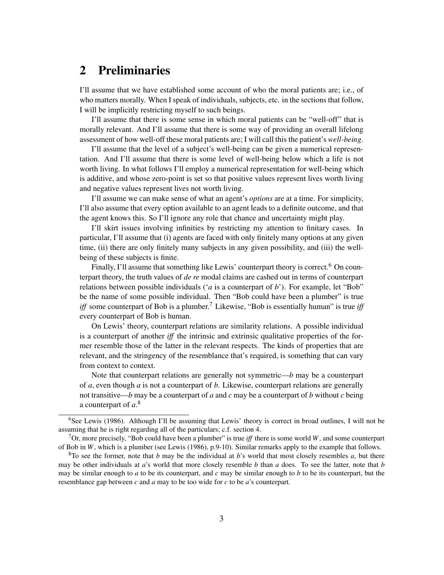## 2 Preliminaries

I'll assume that we have established some account of who the moral patients are; i.e., of who matters morally. When I speak of individuals, subjects, etc. in the sections that follow, I will be implicitly restricting myself to such beings.

I'll assume that there is some sense in which moral patients can be "well-off" that is morally relevant. And I'll assume that there is some way of providing an overall lifelong assessment of how well-off these moral patients are; I will call this the patient's *well-being*.

I'll assume that the level of a subject's well-being can be given a numerical representation. And I'll assume that there is some level of well-being below which a life is not worth living. In what follows I'll employ a numerical representation for well-being which is additive, and whose zero-point is set so that positive values represent lives worth living and negative values represent lives not worth living.

I'll assume we can make sense of what an agent's *options* are at a time. For simplicity, I'll also assume that every option available to an agent leads to a definite outcome, and that the agent knows this. So I'll ignore any role that chance and uncertainty might play.

I'll skirt issues involving infinities by restricting my attention to finitary cases. In particular, I'll assume that (i) agents are faced with only finitely many options at any given time, (ii) there are only finitely many subjects in any given possibility, and (iii) the wellbeing of these subjects is finite.

Finally, I'll assume that something like Lewis' counterpart theory is correct.<sup>6</sup> On counterpart theory, the truth values of *de re* modal claims are cashed out in terms of counterpart relations between possible individuals ('*a* is a counterpart of *b*'). For example, let "Bob" be the name of some possible individual. Then "Bob could have been a plumber" is true *iff* some counterpart of Bob is a plumber.<sup>7</sup> Likewise, "Bob is essentially human" is true *iff* every counterpart of Bob is human.

On Lewis' theory, counterpart relations are similarity relations. A possible individual is a counterpart of another *iff* the intrinsic and extrinsic qualitative properties of the former resemble those of the latter in the relevant respects. The kinds of properties that are relevant, and the stringency of the resemblance that's required, is something that can vary from context to context.

Note that counterpart relations are generally not symmetric—*b* may be a counterpart of *a*, even though *a* is not a counterpart of *b*. Likewise, counterpart relations are generally not transitive—*b* may be a counterpart of *a* and *c* may be a counterpart of *b* without *c* being a counterpart of *a*. 8

<sup>7</sup>Or, more precisely, "Bob could have been a plumber" is true *iff* there is some world *W*, and some counterpart of Bob in *W*, which is a plumber (see Lewis (1986), p.9-10). Similar remarks apply to the example that follows.

<sup>&</sup>lt;sup>6</sup>See Lewis (1986). Although I'll be assuming that Lewis' theory is correct in broad outlines, I will not be assuming that he is right regarding all of the particulars; c.f. section 4.

<sup>&</sup>lt;sup>8</sup>To see the former, note that *b* may be the individual at *b*'s world that most closely resembles *a*, but there may be other individuals at *a*'s world that more closely resemble *b* than *a* does. To see the latter, note that *b* may be similar enough to *a* to be its counterpart, and *c* may be similar enough to *b* to be its counterpart, but the resemblance gap between *c* and *a* may to be too wide for *c* to be *a*'s counterpart.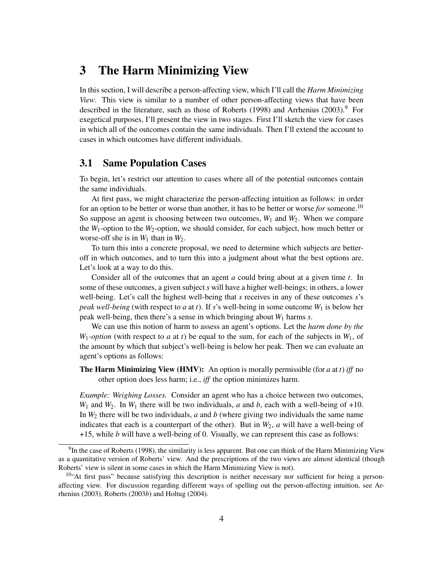## 3 The Harm Minimizing View

In this section, I will describe a person-affecting view, which I'll call the *Harm Minimizing View*. This view is similar to a number of other person-affecting views that have been described in the literature, such as those of Roberts (1998) and Arrhenius (2003).<sup>9</sup> For exegetical purposes, I'll present the view in two stages. First I'll sketch the view for cases in which all of the outcomes contain the same individuals. Then I'll extend the account to cases in which outcomes have different individuals.

#### 3.1 Same Population Cases

To begin, let's restrict our attention to cases where all of the potential outcomes contain the same individuals.

At first pass, we might characterize the person-affecting intuition as follows: in order for an option to be better or worse than another, it has to be better or worse *for* someone.<sup>10</sup> So suppose an agent is choosing between two outcomes, *W*<sup>1</sup> and *W*2. When we compare the  $W_1$ -option to the  $W_2$ -option, we should consider, for each subject, how much better or worse-off she is in  $W_1$  than in  $W_2$ .

To turn this into a concrete proposal, we need to determine which subjects are betteroff in which outcomes, and to turn this into a judgment about what the best options are. Let's look at a way to do this.

Consider all of the outcomes that an agent *a* could bring about at a given time *t*. In some of these outcomes, a given subject *s* will have a higher well-beings; in others, a lower well-being. Let's call the highest well-being that *s* receives in any of these outcomes *s*'s *peak well-being* (with respect to *a* at *t*). If *s*'s well-being in some outcome *W*<sup>1</sup> is below her peak well-being, then there's a sense in which bringing about *W*<sup>1</sup> harms *s*.

We can use this notion of harm to assess an agent's options. Let the *harm done by the*  $W_1$ -*option* (with respect to *a* at *t*) be equal to the sum, for each of the subjects in  $W_1$ , of the amount by which that subject's well-being is below her peak. Then we can evaluate an agent's options as follows:

The Harm Minimizing View (HMV): An option is morally permissible (for *a* at *t*) *iff* no other option does less harm; i.e., *iff* the option minimizes harm.

*Example: Weighing Losses.* Consider an agent who has a choice between two outcomes,  $W_1$  and  $W_2$ . In  $W_1$  there will be two individuals, *a* and *b*, each with a well-being of +10. In *W*<sup>2</sup> there will be two individuals, *a* and *b* (where giving two individuals the same name indicates that each is a counterpart of the other). But in  $W_2$ ,  $\alpha$  will have a well-being of +15, while *b* will have a well-being of 0. Visually, we can represent this case as follows:

 $^{9}$ In the case of Roberts (1998), the similarity is less apparent. But one can think of the Harm Minimizing View as a quantitative version of Roberts' view. And the prescriptions of the two views are almost identical (though Roberts' view is silent in some cases in which the Harm Minimizing View is not).

 $10^\circ$ At first pass" because satisfying this description is neither necessary nor sufficient for being a personaffecting view. For discussion regarding different ways of spelling out the person-affecting intuition, see Arrhenius (2003), Roberts (2003*b*) and Holtug (2004).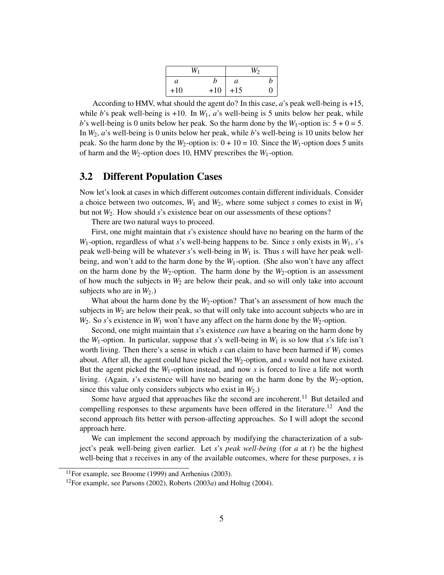| a     | n     | a     | D |
|-------|-------|-------|---|
| $+10$ | $+10$ | $+15$ |   |

According to HMV, what should the agent do? In this case, *a*'s peak well-being is +15, while *b*'s peak well-being is  $+10$ . In  $W_1$ , *a*'s well-being is 5 units below her peak, while *b*'s well-being is 0 units below her peak. So the harm done by the  $W_1$ -option is:  $5 + 0 = 5$ . In *W*2, *a*'s well-being is 0 units below her peak, while *b*'s well-being is 10 units below her peak. So the harm done by the  $W_2$ -option is:  $0 + 10 = 10$ . Since the  $W_1$ -option does 5 units of harm and the  $W_2$ -option does 10, HMV prescribes the  $W_1$ -option.

#### 3.2 Different Population Cases

Now let's look at cases in which different outcomes contain different individuals. Consider a choice between two outcomes,  $W_1$  and  $W_2$ , where some subject *s* comes to exist in  $W_1$ but not *W*2. How should *s*'s existence bear on our assessments of these options?

There are two natural ways to proceed.

First, one might maintain that *s*'s existence should have no bearing on the harm of the *W*1-option, regardless of what *s*'s well-being happens to be. Since *s* only exists in *W*1, *s*'s peak well-being will be whatever *s*'s well-being in *W*<sup>1</sup> is. Thus *s* will have her peak wellbeing, and won't add to the harm done by the *W*1-option. (She also won't have any affect on the harm done by the  $W_2$ -option. The harm done by the  $W_2$ -option is an assessment of how much the subjects in *W*<sup>2</sup> are below their peak, and so will only take into account subjects who are in  $W_2$ .)

What about the harm done by the *W*<sub>2</sub>-option? That's an assessment of how much the subjects in  $W_2$  are below their peak, so that will only take into account subjects who are in  $W_2$ . So *s*'s existence in  $W_1$  won't have any affect on the harm done by the  $W_2$ -option.

Second, one might maintain that *s*'s existence *can* have a bearing on the harm done by the  $W_1$ -option. In particular, suppose that *s*'s well-being in  $W_1$  is so low that *s*'s life isn't worth living. Then there's a sense in which *s* can claim to have been harmed if *W*<sup>1</sup> comes about. After all, the agent could have picked the  $W_2$ -option, and *s* would not have existed. But the agent picked the *W*1-option instead, and now *s* is forced to live a life not worth living. (Again, *s*'s existence will have no bearing on the harm done by the *W*2-option, since this value only considers subjects who exist in *W*2.)

Some have argued that approaches like the second are incoherent.<sup>11</sup> But detailed and compelling responses to these arguments have been offered in the literature.<sup>12</sup> And the second approach fits better with person-affecting approaches. So I will adopt the second approach here.

We can implement the second approach by modifying the characterization of a subject's peak well-being given earlier. Let *s*'s *peak well-being* (for *a* at *t*) be the highest well-being that *s* receives in any of the available outcomes, where for these purposes, *s* is

 $11$ For example, see Broome (1999) and Arrhenius (2003).

<sup>12</sup>For example, see Parsons (2002), Roberts (2003*a*) and Holtug (2004).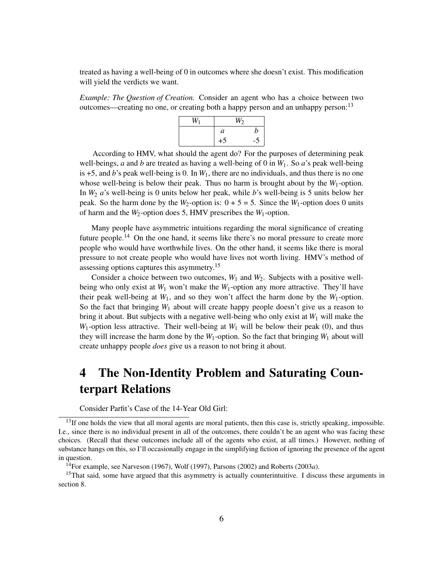treated as having a well-being of 0 in outcomes where she doesn't exist. This modification will yield the verdicts we want.

*Example: The Question of Creation.* Consider an agent who has a choice between two outcomes—creating no one, or creating both a happy person and an unhappy person: $13$ 

| W | $W_2$ |   |
|---|-------|---|
|   | a     | h |
|   | $+5$  |   |

According to HMV, what should the agent do? For the purposes of determining peak well-beings, *a* and *b* are treated as having a well-being of 0 in *W*1. So *a*'s peak well-being is  $+5$ , and *b*'s peak well-being is 0. In  $W_1$ , there are no individuals, and thus there is no one whose well-being is below their peak. Thus no harm is brought about by the *W*1-option. In *W*<sup>2</sup> *a*'s well-being is 0 units below her peak, while *b*'s well-being is 5 units below her peak. So the harm done by the  $W_2$ -option is:  $0 + 5 = 5$ . Since the  $W_1$ -option does 0 units of harm and the  $W_2$ -option does 5, HMV prescribes the  $W_1$ -option.

Many people have asymmetric intuitions regarding the moral significance of creating future people.<sup>14</sup> On the one hand, it seems like there's no moral pressure to create more people who would have worthwhile lives. On the other hand, it seems like there is moral pressure to not create people who would have lives not worth living. HMV's method of assessing options captures this asymmetry.<sup>15</sup>

Consider a choice between two outcomes,  $W_1$  and  $W_2$ . Subjects with a positive wellbeing who only exist at  $W_1$  won't make the  $W_1$ -option any more attractive. They'll have their peak well-being at  $W_1$ , and so they won't affect the harm done by the  $W_1$ -option. So the fact that bringing *W*<sup>1</sup> about will create happy people doesn't give us a reason to bring it about. But subjects with a negative well-being who only exist at *W*<sup>1</sup> will make the  $W_1$ -option less attractive. Their well-being at  $W_1$  will be below their peak (0), and thus they will increase the harm done by the  $W_1$ -option. So the fact that bringing  $W_1$  about will create unhappy people *does* give us a reason to not bring it about.

## 4 The Non-Identity Problem and Saturating Counterpart Relations

Consider Parfit's Case of the 14-Year Old Girl:

<sup>&</sup>lt;sup>13</sup>If one holds the view that all moral agents are moral patients, then this case is, strictly speaking, impossible. I.e., since there is no individual present in all of the outcomes, there couldn't be an agent who was facing these choices. (Recall that these outcomes include all of the agents who exist, at all times.) However, nothing of substance hangs on this, so I'll occasionally engage in the simplifying fiction of ignoring the presence of the agent in question.

<sup>14</sup>For example, see Narveson (1967), Wolf (1997), Parsons (2002) and Roberts (2003*a*).

<sup>&</sup>lt;sup>15</sup>That said, some have argued that this asymmetry is actually counterintuitive. I discuss these arguments in section 8.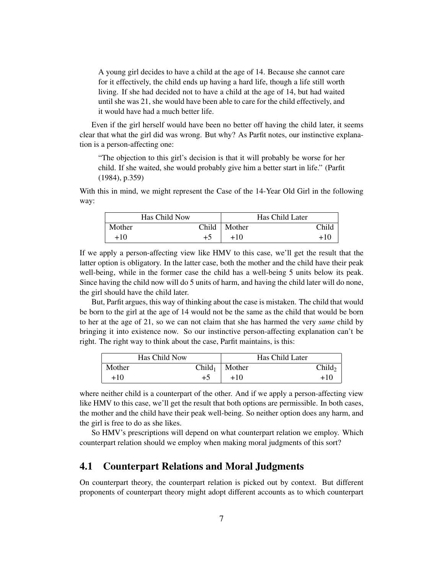A young girl decides to have a child at the age of 14. Because she cannot care for it effectively, the child ends up having a hard life, though a life still worth living. If she had decided not to have a child at the age of 14, but had waited until she was 21, she would have been able to care for the child effectively, and it would have had a much better life.

Even if the girl herself would have been no better off having the child later, it seems clear that what the girl did was wrong. But why? As Parfit notes, our instinctive explanation is a person-affecting one:

"The objection to this girl's decision is that it will probably be worse for her child. If she waited, she would probably give him a better start in life." (Parfit (1984), p.359)

With this in mind, we might represent the Case of the 14-Year Old Girl in the following way:

| Has Child Now |  | Has Child Later |        |  |       |
|---------------|--|-----------------|--------|--|-------|
| Mother        |  | Child           | Mother |  | Child |
| $+10$         |  | +:              | $+10$  |  | $+10$ |

If we apply a person-affecting view like HMV to this case, we'll get the result that the latter option is obligatory. In the latter case, both the mother and the child have their peak well-being, while in the former case the child has a well-being 5 units below its peak. Since having the child now will do 5 units of harm, and having the child later will do none, the girl should have the child later.

But, Parfit argues, this way of thinking about the case is mistaken. The child that would be born to the girl at the age of 14 would not be the same as the child that would be born to her at the age of 21, so we can not claim that she has harmed the very *same* child by bringing it into existence now. So our instinctive person-affecting explanation can't be right. The right way to think about the case, Parfit maintains, is this:

|        | Has Child Now |           |        | Has Child Later |                    |
|--------|---------------|-----------|--------|-----------------|--------------------|
| Mother |               | $Child_1$ | Mother |                 | Child <sub>2</sub> |
| +10    |               | +:        | $+10$  |                 | $+10$              |

where neither child is a counterpart of the other. And if we apply a person-affecting view like HMV to this case, we'll get the result that both options are permissible. In both cases, the mother and the child have their peak well-being. So neither option does any harm, and the girl is free to do as she likes.

So HMV's prescriptions will depend on what counterpart relation we employ. Which counterpart relation should we employ when making moral judgments of this sort?

#### 4.1 Counterpart Relations and Moral Judgments

On counterpart theory, the counterpart relation is picked out by context. But different proponents of counterpart theory might adopt different accounts as to which counterpart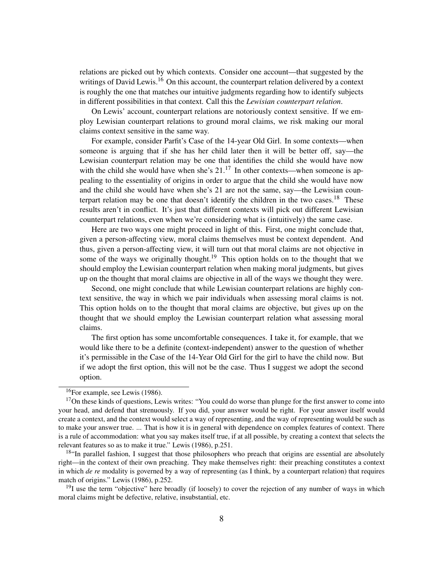relations are picked out by which contexts. Consider one account—that suggested by the writings of David Lewis.<sup>16</sup> On this account, the counterpart relation delivered by a context is roughly the one that matches our intuitive judgments regarding how to identify subjects in different possibilities in that context. Call this the *Lewisian counterpart relation*.

On Lewis' account, counterpart relations are notoriously context sensitive. If we employ Lewisian counterpart relations to ground moral claims, we risk making our moral claims context sensitive in the same way.

For example, consider Parfit's Case of the 14-year Old Girl. In some contexts—when someone is arguing that if she has her child later then it will be better off, say—the Lewisian counterpart relation may be one that identifies the child she would have now with the child she would have when she's  $21<sup>17</sup>$  In other contexts—when someone is appealing to the essentiality of origins in order to argue that the child she would have now and the child she would have when she's 21 are not the same, say—the Lewisian counterpart relation may be one that doesn't identify the children in the two cases.<sup>18</sup> These results aren't in conflict. It's just that different contexts will pick out different Lewisian counterpart relations, even when we're considering what is (intuitively) the same case.

Here are two ways one might proceed in light of this. First, one might conclude that, given a person-affecting view, moral claims themselves must be context dependent. And thus, given a person-affecting view, it will turn out that moral claims are not objective in some of the ways we originally thought.<sup>19</sup> This option holds on to the thought that we should employ the Lewisian counterpart relation when making moral judgments, but gives up on the thought that moral claims are objective in all of the ways we thought they were.

Second, one might conclude that while Lewisian counterpart relations are highly context sensitive, the way in which we pair individuals when assessing moral claims is not. This option holds on to the thought that moral claims are objective, but gives up on the thought that we should employ the Lewisian counterpart relation what assessing moral claims.

The first option has some uncomfortable consequences. I take it, for example, that we would like there to be a definite (context-independent) answer to the question of whether it's permissible in the Case of the 14-Year Old Girl for the girl to have the child now. But if we adopt the first option, this will not be the case. Thus I suggest we adopt the second option.

<sup>&</sup>lt;sup>16</sup>For example, see Lewis (1986).

<sup>&</sup>lt;sup>17</sup>On these kinds of questions, Lewis writes: "You could do worse than plunge for the first answer to come into your head, and defend that strenuously. If you did, your answer would be right. For your answer itself would create a context, and the context would select a way of representing, and the way of representing would be such as to make your answer true. ... That is how it is in general with dependence on complex features of context. There is a rule of accommodation: what you say makes itself true, if at all possible, by creating a context that selects the relevant features so as to make it true." Lewis (1986), p.251.

<sup>&</sup>lt;sup>18"</sup>In parallel fashion, I suggest that those philosophers who preach that origins are essential are absolutely right—in the context of their own preaching. They make themselves right: their preaching constitutes a context in which *de re* modality is governed by a way of representing (as I think, by a counterpart relation) that requires match of origins." Lewis (1986), p.252.

 $19$ I use the term "objective" here broadly (if loosely) to cover the rejection of any number of ways in which moral claims might be defective, relative, insubstantial, etc.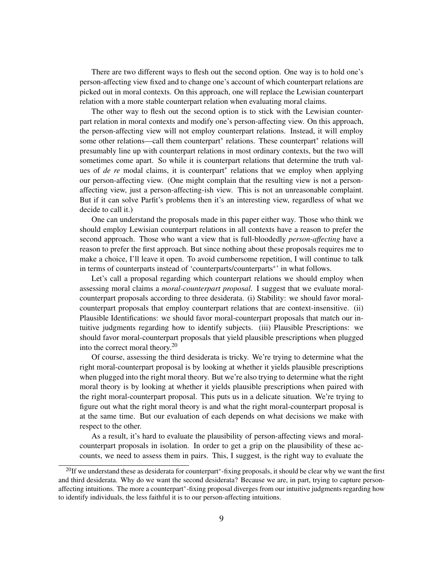There are two different ways to flesh out the second option. One way is to hold one's person-affecting view fixed and to change one's account of which counterpart relations are picked out in moral contexts. On this approach, one will replace the Lewisian counterpart relation with a more stable counterpart relation when evaluating moral claims.

The other way to flesh out the second option is to stick with the Lewisian counterpart relation in moral contexts and modify one's person-affecting view. On this approach, the person-affecting view will not employ counterpart relations. Instead, it will employ some other relations—call them counterpart<sup>\*</sup> relations. These counterpart<sup>\*</sup> relations will presumably line up with counterpart relations in most ordinary contexts, but the two will sometimes come apart. So while it is counterpart relations that determine the truth values of *de re* modal claims, it is counterpart<sup>∗</sup> relations that we employ when applying our person-affecting view. (One might complain that the resulting view is not a personaffecting view, just a person-affecting-ish view. This is not an unreasonable complaint. But if it can solve Parfit's problems then it's an interesting view, regardless of what we decide to call it.)

One can understand the proposals made in this paper either way. Those who think we should employ Lewisian counterpart relations in all contexts have a reason to prefer the second approach. Those who want a view that is full-bloodedly *person-affecting* have a reason to prefer the first approach. But since nothing about these proposals requires me to make a choice, I'll leave it open. To avoid cumbersome repetition, I will continue to talk in terms of counterparts instead of 'counterparts/counterparts<sup>∗</sup> ' in what follows.

Let's call a proposal regarding which counterpart relations we should employ when assessing moral claims a *moral-counterpart proposal*. I suggest that we evaluate moralcounterpart proposals according to three desiderata. (i) Stability: we should favor moralcounterpart proposals that employ counterpart relations that are context-insensitive. (ii) Plausible Identifications: we should favor moral-counterpart proposals that match our intuitive judgments regarding how to identify subjects. (iii) Plausible Prescriptions: we should favor moral-counterpart proposals that yield plausible prescriptions when plugged into the correct moral theory.<sup>20</sup>

Of course, assessing the third desiderata is tricky. We're trying to determine what the right moral-counterpart proposal is by looking at whether it yields plausible prescriptions when plugged into the right moral theory. But we're also trying to determine what the right moral theory is by looking at whether it yields plausible prescriptions when paired with the right moral-counterpart proposal. This puts us in a delicate situation. We're trying to figure out what the right moral theory is and what the right moral-counterpart proposal is at the same time. But our evaluation of each depends on what decisions we make with respect to the other.

As a result, it's hard to evaluate the plausibility of person-affecting views and moralcounterpart proposals in isolation. In order to get a grip on the plausibility of these accounts, we need to assess them in pairs. This, I suggest, is the right way to evaluate the

<sup>&</sup>lt;sup>20</sup>If we understand these as desiderata for counterpart<sup>∗</sup>-fixing proposals, it should be clear why we want the first and third desiderata. Why do we want the second desiderata? Because we are, in part, trying to capture personaffecting intuitions. The more a counterpart<sup>∗</sup>-fixing proposal diverges from our intuitive judgments regarding how to identify individuals, the less faithful it is to our person-affecting intuitions.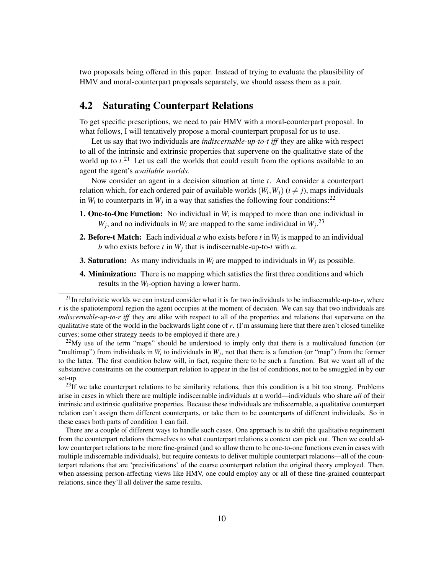two proposals being offered in this paper. Instead of trying to evaluate the plausibility of HMV and moral-counterpart proposals separately, we should assess them as a pair.

### 4.2 Saturating Counterpart Relations

To get specific prescriptions, we need to pair HMV with a moral-counterpart proposal. In what follows, I will tentatively propose a moral-counterpart proposal for us to use.

Let us say that two individuals are *indiscernable-up-to-t iff* they are alike with respect to all of the intrinsic and extrinsic properties that supervene on the qualitative state of the world up to  $t<sup>21</sup>$ . Let us call the worlds that could result from the options available to an agent the agent's *available worlds*.

Now consider an agent in a decision situation at time *t*. And consider a counterpart relation which, for each ordered pair of available worlds  $(W_i, W_j)$  ( $i \neq j$ ), maps individuals in  $W_i$  to counterparts in  $W_j$  in a way that satisfies the following four conditions:<sup>22</sup>

- **1. One-to-One Function:** No individual in  $W_i$  is mapped to more than one individual in *W*<sub>*j*</sub>, and no individuals in *W*<sub>*i*</sub> are mapped to the same individual in *W*<sub>*j*</sub>.<sup>23</sup>
- 2. Before-t Match: Each individual *a* who exists before *t* in *W<sup>i</sup>* is mapped to an individual *b* who exists before *t* in  $W_j$  that is indiscernable-up-to-*t* with *a*.
- **3. Saturation:** As many individuals in  $W_i$  are mapped to individuals in  $W_i$  as possible.
- **4. Minimization:** There is no mapping which satisfies the first three conditions and which results in the *Wi*-option having a lower harm.

 $22$ My use of the term "maps" should be understood to imply only that there is a multivalued function (or "multimap") from individuals in  $W_i$  to individuals in  $W_j$ , not that there is a function (or "map") from the former to the latter. The first condition below will, in fact, require there to be such a function. But we want all of the substantive constraints on the counterpart relation to appear in the list of conditions, not to be smuggled in by our set-up.

 $^{23}$ If we take counterpart relations to be similarity relations, then this condition is a bit too strong. Problems arise in cases in which there are multiple indiscernable individuals at a world—individuals who share *all* of their intrinsic and extrinsic qualitative properties. Because these individuals are indiscernable, a qualitative counterpart relation can't assign them different counterparts, or take them to be counterparts of different individuals. So in these cases both parts of condition 1 can fail.

There are a couple of different ways to handle such cases. One approach is to shift the qualitative requirement from the counterpart relations themselves to what counterpart relations a context can pick out. Then we could allow counterpart relations to be more fine-grained (and so allow them to be one-to-one functions even in cases with multiple indiscernable individuals), but require contexts to deliver multiple counterpart relations—all of the counterpart relations that are 'precisifications' of the coarse counterpart relation the original theory employed. Then, when assessing person-affecting views like HMV, one could employ any or all of these fine-grained counterpart relations, since they'll all deliver the same results.

<sup>21</sup>In relativistic worlds we can instead consider what it is for two individuals to be indiscernable-up-to-*r*, where *r* is the spatiotemporal region the agent occupies at the moment of decision. We can say that two individuals are *indiscernable-up-to-r iff* they are alike with respect to all of the properties and relations that supervene on the qualitative state of the world in the backwards light cone of *r*. (I'm assuming here that there aren't closed timelike curves; some other strategy needs to be employed if there are.)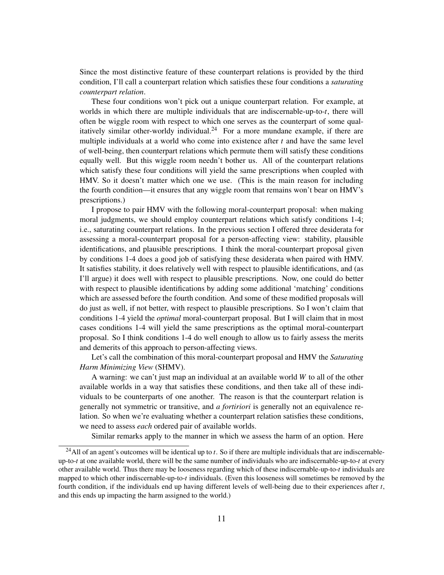Since the most distinctive feature of these counterpart relations is provided by the third condition, I'll call a counterpart relation which satisfies these four conditions a *saturating counterpart relation*.

These four conditions won't pick out a unique counterpart relation. For example, at worlds in which there are multiple individuals that are indiscernable-up-to-*t*, there will often be wiggle room with respect to which one serves as the counterpart of some qualitatively similar other-worldy individual.<sup>24</sup> For a more mundane example, if there are multiple individuals at a world who come into existence after *t* and have the same level of well-being, then counterpart relations which permute them will satisfy these conditions equally well. But this wiggle room needn't bother us. All of the counterpart relations which satisfy these four conditions will yield the same prescriptions when coupled with HMV. So it doesn't matter which one we use. (This is the main reason for including the fourth condition—it ensures that any wiggle room that remains won't bear on HMV's prescriptions.)

I propose to pair HMV with the following moral-counterpart proposal: when making moral judgments, we should employ counterpart relations which satisfy conditions 1-4; i.e., saturating counterpart relations. In the previous section I offered three desiderata for assessing a moral-counterpart proposal for a person-affecting view: stability, plausible identifications, and plausible prescriptions. I think the moral-counterpart proposal given by conditions 1-4 does a good job of satisfying these desiderata when paired with HMV. It satisfies stability, it does relatively well with respect to plausible identifications, and (as I'll argue) it does well with respect to plausible prescriptions. Now, one could do better with respect to plausible identifications by adding some additional 'matching' conditions which are assessed before the fourth condition. And some of these modified proposals will do just as well, if not better, with respect to plausible prescriptions. So I won't claim that conditions 1-4 yield the *optimal* moral-counterpart proposal. But I will claim that in most cases conditions 1-4 will yield the same prescriptions as the optimal moral-counterpart proposal. So I think conditions 1-4 do well enough to allow us to fairly assess the merits and demerits of this approach to person-affecting views.

Let's call the combination of this moral-counterpart proposal and HMV the *Saturating Harm Minimizing View* (SHMV).

A warning: we can't just map an individual at an available world *W* to all of the other available worlds in a way that satisfies these conditions, and then take all of these individuals to be counterparts of one another. The reason is that the counterpart relation is generally not symmetric or transitive, and *a fortiriori* is generally not an equivalence relation. So when we're evaluating whether a counterpart relation satisfies these conditions, we need to assess *each* ordered pair of available worlds.

Similar remarks apply to the manner in which we assess the harm of an option. Here

<sup>24</sup>All of an agent's outcomes will be identical up to *t*. So if there are multiple individuals that are indiscernableup-to-*t* at one available world, there will be the same number of individuals who are indiscernable-up-to-*t* at every other available world. Thus there may be looseness regarding which of these indiscernable-up-to-*t* individuals are mapped to which other indiscernable-up-to-*t* individuals. (Even this looseness will sometimes be removed by the fourth condition, if the individuals end up having different levels of well-being due to their experiences after *t*, and this ends up impacting the harm assigned to the world.)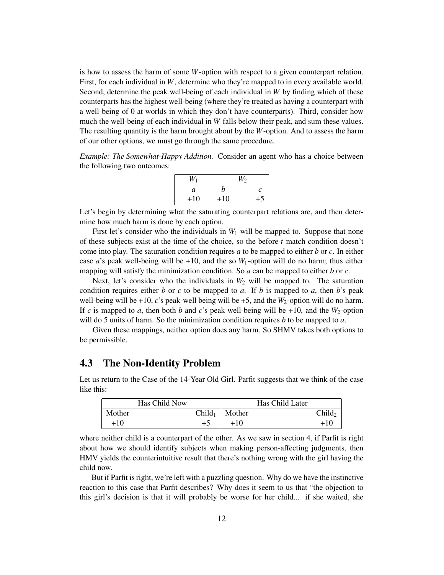is how to assess the harm of some *W*-option with respect to a given counterpart relation. First, for each individual in *W*, determine who they're mapped to in every available world. Second, determine the peak well-being of each individual in *W* by finding which of these counterparts has the highest well-being (where they're treated as having a counterpart with a well-being of 0 at worlds in which they don't have counterparts). Third, consider how much the well-being of each individual in *W* falls below their peak, and sum these values. The resulting quantity is the harm brought about by the *W*-option. And to assess the harm of our other options, we must go through the same procedure.

*Example: The Somewhat-Happy Addition.* Consider an agent who has a choice between the following two outcomes:

| W     | W,    |    |
|-------|-------|----|
| а     | Ŋ     | c  |
| $+10$ | $+10$ | +5 |

Let's begin by determining what the saturating counterpart relations are, and then determine how much harm is done by each option.

First let's consider who the individuals in  $W_1$  will be mapped to. Suppose that none of these subjects exist at the time of the choice, so the before-*t* match condition doesn't come into play. The saturation condition requires *a* to be mapped to either *b* or *c*. In either case *a*'s peak well-being will be  $+10$ , and the so  $W_1$ -option will do no harm; thus either mapping will satisfy the minimization condition. So *a* can be mapped to either *b* or *c*.

Next, let's consider who the individuals in  $W_2$  will be mapped to. The saturation condition requires either *b* or *c* to be mapped to *a*. If *b* is mapped to *a*, then *b*'s peak well-being will be  $+10$ , *c*'s peak-well being will be  $+5$ , and the  $W_2$ -option will do no harm. If *c* is mapped to *a*, then both *b* and *c*'s peak well-being will be +10, and the  $W_2$ -option will do 5 units of harm. So the minimization condition requires *b* to be mapped to *a*.

Given these mappings, neither option does any harm. So SHMV takes both options to be permissible.

### 4.3 The Non-Identity Problem

Let us return to the Case of the 14-Year Old Girl. Parfit suggests that we think of the case like this:

|        | Has Child Now |           |        | Has Child Later |                    |
|--------|---------------|-----------|--------|-----------------|--------------------|
| Mother |               | $Child_1$ | Mother |                 | Child <sub>2</sub> |
| $+10$  |               | +:        | $+10$  |                 | $+10$              |

where neither child is a counterpart of the other. As we saw in section 4, if Parfit is right about how we should identify subjects when making person-affecting judgments, then HMV yields the counterintuitive result that there's nothing wrong with the girl having the child now.

But if Parfit is right, we're left with a puzzling question. Why do we have the instinctive reaction to this case that Parfit describes? Why does it seem to us that "the objection to this girl's decision is that it will probably be worse for her child... if she waited, she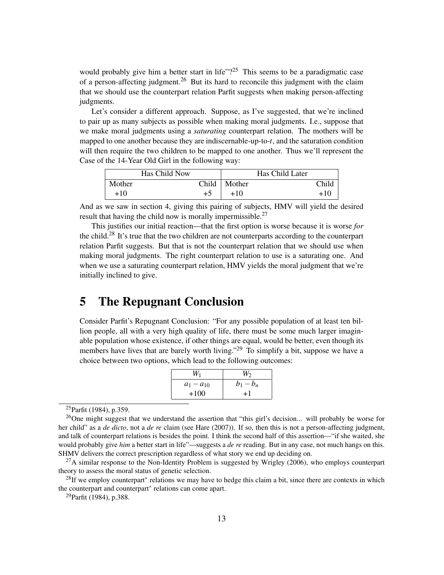would probably give him a better start in life" $2^{25}$  This seems to be a paradigmatic case of a person-affecting judgment.<sup>26</sup> But its hard to reconcile this judgment with the claim that we should use the counterpart relation Parfit suggests when making person-affecting judgments.

Let's consider a different approach. Suppose, as I've suggested, that we're inclined to pair up as many subjects as possible when making moral judgments. I.e., suppose that we make moral judgments using a *saturating* counterpart relation. The mothers will be mapped to one another because they are indiscernable-up-to-*t*, and the saturation condition will then require the two children to be mapped to one another. Thus we'll represent the Case of the 14-Year Old Girl in the following way:

| Has Child Now |  | Has Child Later |        |  |       |
|---------------|--|-----------------|--------|--|-------|
| Mother        |  | Child           | Mother |  | Child |
| $+10$         |  |                 | $+10$  |  | $+10$ |

And as we saw in section 4, giving this pairing of subjects, HMV will yield the desired result that having the child now is morally impermissible.<sup>27</sup>

This justifies our initial reaction—that the first option is worse because it is worse *for* the child.<sup>28</sup> It's true that the two children are not counterparts according to the counterpart relation Parfit suggests. But that is not the counterpart relation that we should use when making moral judgments. The right counterpart relation to use is a saturating one. And when we use a saturating counterpart relation, HMV yields the moral judgment that we're initially inclined to give.

## 5 The Repugnant Conclusion

Consider Parfit's Repugnant Conclusion: "For any possible population of at least ten billion people, all with a very high quality of life, there must be some much larger imaginable population whose existence, if other things are equal, would be better, even though its members have lives that are barely worth living."<sup>29</sup> To simplify a bit, suppose we have a choice between two options, which lead to the following outcomes:

| W              | $W_2$     |
|----------------|-----------|
| $a_1 - a_{10}$ | $b_1-b_n$ |
| $+100$         | $+1$      |
|                |           |

<sup>25</sup>Parfit (1984), p.359.

 $^{29}$ Parfit (1984), p.388.

<sup>&</sup>lt;sup>26</sup>One might suggest that we understand the assertion that "this girl's decision... will probably be worse for her child" as a *de dicto*, not a *de re* claim (see Hare (2007)). If so, then this is not a person-affecting judgment, and talk of counterpart relations is besides the point. I think the second half of this assertion—"if she waited, she would probably give *him* a better start in life"—suggests a *de re* reading. But in any case, not much hangs on this. SHMV delivers the correct prescription regardless of what story we end up deciding on.

 $^{27}$ A similar response to the Non-Identity Problem is suggested by Wrigley (2006), who employs counterpart theory to assess the moral status of genetic selection.

<sup>&</sup>lt;sup>28</sup>If we employ counterpart<sup>\*</sup> relations we may have to hedge this claim a bit, since there are contexts in which the counterpart and counterpart<sup>∗</sup> relations can come apart.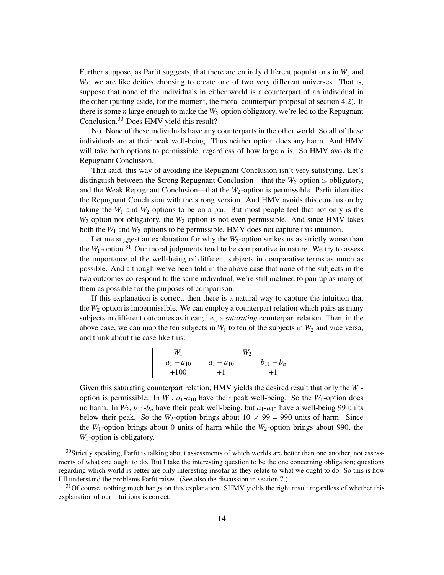Further suppose, as Parfit suggests, that there are entirely different populations in  $W_1$  and  $W_2$ ; we are like deities choosing to create one of two very different universes. That is, suppose that none of the individuals in either world is a counterpart of an individual in the other (putting aside, for the moment, the moral counterpart proposal of section 4.2). If there is some *n* large enough to make the  $W_2$ -option obligatory, we're led to the Repugnant Conclusion.<sup>30</sup> Does HMV yield this result?

No. None of these individuals have any counterparts in the other world. So all of these individuals are at their peak well-being. Thus neither option does any harm. And HMV will take both options to permissible, regardless of how large *n* is. So HMV avoids the Repugnant Conclusion.

That said, this way of avoiding the Repugnant Conclusion isn't very satisfying. Let's distinguish between the Strong Repugnant Conclusion—that the *W*<sub>2</sub>-option is obligatory, and the Weak Repugnant Conclusion—that the  $W_2$ -option is permissible. Parfit identifies the Repugnant Conclusion with the strong version. And HMV avoids this conclusion by taking the  $W_1$  and  $W_2$ -options to be on a par. But most people feel that not only is the  $W_2$ -option not obligatory, the  $W_2$ -option is not even permissible. And since HMV takes both the  $W_1$  and  $W_2$ -options to be permissible, HMV does not capture this intuition.

Let me suggest an explanation for why the  $W_2$ -option strikes us as strictly worse than the  $W_1$ -option.<sup>31</sup> Our moral judgments tend to be comparative in nature. We try to assess the importance of the well-being of different subjects in comparative terms as much as possible. And although we've been told in the above case that none of the subjects in the two outcomes correspond to the same individual, we're still inclined to pair up as many of them as possible for the purposes of comparison.

If this explanation is correct, then there is a natural way to capture the intuition that the *W*<sup>2</sup> option is impermissible. We can employ a counterpart relation which pairs as many subjects in different outcomes as it can; i.e., a *saturating* counterpart relation. Then, in the above case, we can map the ten subjects in  $W_1$  to ten of the subjects in  $W_2$  and vice versa, and think about the case like this:

|                |                | W, |                |
|----------------|----------------|----|----------------|
| $a_1 - a_{10}$ | $a_1 - a_{10}$ |    | $b_{11} - b_n$ |
| $+100$         |                |    |                |

Given this saturating counterpart relation, HMV yields the desired result that only the *W*1 option is permissible. In  $W_1$ ,  $a_1$ - $a_{10}$  have their peak well-being. So the  $W_1$ -option does no harm. In  $W_2$ ,  $b_{11}$ - $b_n$  have their peak well-being, but  $a_1$ - $a_{10}$  have a well-being 99 units below their peak. So the  $W_2$ -option brings about  $10 \times 99 = 990$  units of harm. Since the  $W_1$ -option brings about 0 units of harm while the  $W_2$ -option brings about 990, the *W*1-option is obligatory.

 $30$ Strictly speaking, Parfit is talking about assessments of which worlds are better than one another, not assessments of what one ought to do. But I take the interesting question to be the one concerning obligation; questions regarding which world is better are only interesting insofar as they relate to what we ought to do. So this is how I'll understand the problems Parfit raises. (See also the discussion in section 7.)

<sup>&</sup>lt;sup>31</sup>Of course, nothing much hangs on this explanation. SHMV yields the right result regardless of whether this explanation of our intuitions is correct.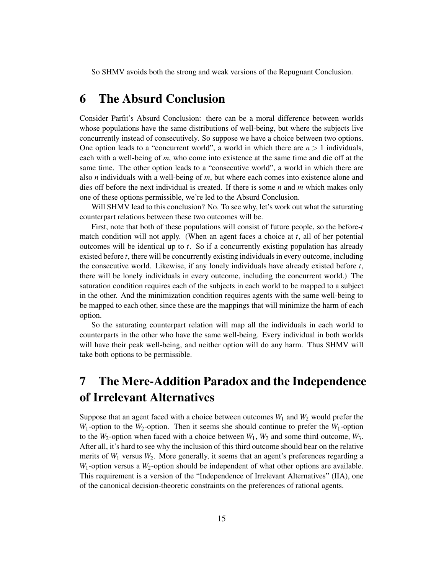So SHMV avoids both the strong and weak versions of the Repugnant Conclusion.

### 6 The Absurd Conclusion

Consider Parfit's Absurd Conclusion: there can be a moral difference between worlds whose populations have the same distributions of well-being, but where the subjects live concurrently instead of consecutively. So suppose we have a choice between two options. One option leads to a "concurrent world", a world in which there are  $n > 1$  individuals, each with a well-being of *m*, who come into existence at the same time and die off at the same time. The other option leads to a "consecutive world", a world in which there are also *n* individuals with a well-being of *m*, but where each comes into existence alone and dies off before the next individual is created. If there is some *n* and *m* which makes only one of these options permissible, we're led to the Absurd Conclusion.

Will SHMV lead to this conclusion? No. To see why, let's work out what the saturating counterpart relations between these two outcomes will be.

First, note that both of these populations will consist of future people, so the before-*t* match condition will not apply. (When an agent faces a choice at *t*, all of her potential outcomes will be identical up to *t*. So if a concurrently existing population has already existed before *t*, there will be concurrently existing individuals in every outcome, including the consecutive world. Likewise, if any lonely individuals have already existed before *t*, there will be lonely individuals in every outcome, including the concurrent world.) The saturation condition requires each of the subjects in each world to be mapped to a subject in the other. And the minimization condition requires agents with the same well-being to be mapped to each other, since these are the mappings that will minimize the harm of each option.

So the saturating counterpart relation will map all the individuals in each world to counterparts in the other who have the same well-being. Every individual in both worlds will have their peak well-being, and neither option will do any harm. Thus SHMV will take both options to be permissible.

# 7 The Mere-Addition Paradox and the Independence of Irrelevant Alternatives

Suppose that an agent faced with a choice between outcomes  $W_1$  and  $W_2$  would prefer the  $W_1$ -option to the  $W_2$ -option. Then it seems she should continue to prefer the  $W_1$ -option to the  $W_2$ -option when faced with a choice between  $W_1$ ,  $W_2$  and some third outcome,  $W_3$ . After all, it's hard to see why the inclusion of this third outcome should bear on the relative merits of  $W_1$  versus  $W_2$ . More generally, it seems that an agent's preferences regarding a  $W_1$ -option versus a  $W_2$ -option should be independent of what other options are available. This requirement is a version of the "Independence of Irrelevant Alternatives" (IIA), one of the canonical decision-theoretic constraints on the preferences of rational agents.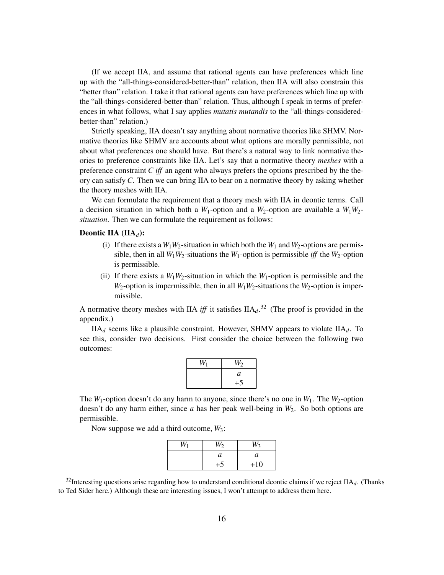(If we accept IIA, and assume that rational agents can have preferences which line up with the "all-things-considered-better-than" relation, then IIA will also constrain this "better than" relation. I take it that rational agents can have preferences which line up with the "all-things-considered-better-than" relation. Thus, although I speak in terms of preferences in what follows, what I say applies *mutatis mutandis* to the "all-things-consideredbetter-than" relation.)

Strictly speaking, IIA doesn't say anything about normative theories like SHMV. Normative theories like SHMV are accounts about what options are morally permissible, not about what preferences one should have. But there's a natural way to link normative theories to preference constraints like IIA. Let's say that a normative theory *meshes* with a preference constraint *C iff* an agent who always prefers the options prescribed by the theory can satisfy *C*. Then we can bring IIA to bear on a normative theory by asking whether the theory meshes with IIA.

We can formulate the requirement that a theory mesh with IIA in deontic terms. Call a decision situation in which both a  $W_1$ -option and a  $W_2$ -option are available a  $W_1W_2$ *situation*. Then we can formulate the requirement as follows:

#### Deontic IIA (IIA*d*):

- (i) If there exists a  $W_1W_2$ -situation in which both the  $W_1$  and  $W_2$ -options are permissible, then in all  $W_1W_2$ -situations the  $W_1$ -option is permissible *iff* the  $W_2$ -option is permissible.
- (ii) If there exists a  $W_1W_2$ -situation in which the  $W_1$ -option is permissible and the  $W_2$ -option is impermissible, then in all  $W_1W_2$ -situations the  $W_2$ -option is impermissible.

A normative theory meshes with IIA *iff* it satisfies  $IIA_d$ <sup>32</sup> (The proof is provided in the appendix.)

 $IIA_d$  seems like a plausible constraint. However, SHMV appears to violate  $IIA_d$ . To see this, consider two decisions. First consider the choice between the following two outcomes:

| $W_1$ | $W_2$ |
|-------|-------|
|       | a     |
|       | $+5$  |

The  $W_1$ -option doesn't do any harm to anyone, since there's no one in  $W_1$ . The  $W_2$ -option doesn't do any harm either, since *a* has her peak well-being in *W*2. So both options are permissible.

Now suppose we add a third outcome, *W*3:

| W | W  | $W_3$ |
|---|----|-------|
|   | a  | a     |
|   | +5 | $+10$ |

 $32$ Interesting questions arise regarding how to understand conditional deontic claims if we reject IIA<sub>d</sub>. (Thanks to Ted Sider here.) Although these are interesting issues, I won't attempt to address them here.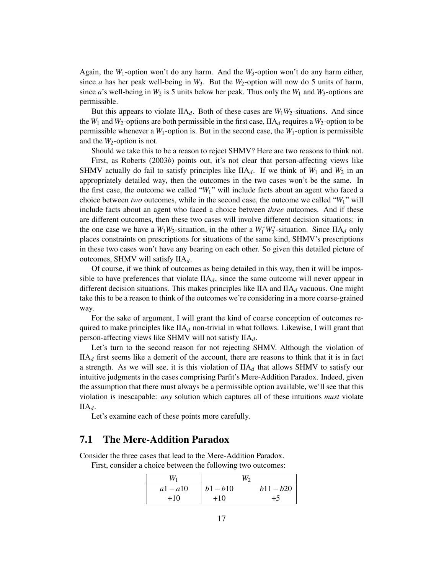Again, the  $W_1$ -option won't do any harm. And the  $W_3$ -option won't do any harm either, since *a* has her peak well-being in  $W_3$ . But the  $W_2$ -option will now do 5 units of harm, since *a*'s well-being in  $W_2$  is 5 units below her peak. Thus only the  $W_1$  and  $W_3$ -options are permissible.

But this appears to violate IIA*d*. Both of these cases are *W*1*W*2-situations. And since the  $W_1$  and  $W_2$ -options are both permissible in the first case, IIA<sub>d</sub> requires a  $W_2$ -option to be permissible whenever a *W*1-option is. But in the second case, the *W*1-option is permissible and the  $W_2$ -option is not.

Should we take this to be a reason to reject SHMV? Here are two reasons to think not.

First, as Roberts (2003*b*) points out, it's not clear that person-affecting views like SHMV actually do fail to satisfy principles like  $IIA_d$ . If we think of  $W_1$  and  $W_2$  in an appropriately detailed way, then the outcomes in the two cases won't be the same. In the first case, the outcome we called "*W*1" will include facts about an agent who faced a choice between *two* outcomes, while in the second case, the outcome we called "*W*1" will include facts about an agent who faced a choice between *three* outcomes. And if these are different outcomes, then these two cases will involve different decision situations: in the one case we have a  $W_1 W_2$ -situation, in the other a  $W_1^* W_2^*$ -situation. Since IIA<sub>d</sub> only places constraints on prescriptions for situations of the same kind, SHMV's prescriptions in these two cases won't have any bearing on each other. So given this detailed picture of outcomes, SHMV will satisfy IIA*d*.

Of course, if we think of outcomes as being detailed in this way, then it will be impossible to have preferences that violate  $IIA_d$ , since the same outcome will never appear in different decision situations. This makes principles like IIA and IIA*<sup>d</sup>* vacuous. One might take this to be a reason to think of the outcomes we're considering in a more coarse-grained way.

For the sake of argument, I will grant the kind of coarse conception of outcomes required to make principles like IIA*<sup>d</sup>* non-trivial in what follows. Likewise, I will grant that person-affecting views like SHMV will not satisfy IIA*d*.

Let's turn to the second reason for not rejecting SHMV. Although the violation of  $IIA_d$  first seems like a demerit of the account, there are reasons to think that it is in fact a strength. As we will see, it is this violation of  $IIA_d$  that allows SHMV to satisfy our intuitive judgments in the cases comprising Parfit's Mere-Addition Paradox. Indeed, given the assumption that there must always be a permissible option available, we'll see that this violation is inescapable: *any* solution which captures all of these intuitions *must* violate IIA*d*.

Let's examine each of these points more carefully.

#### 7.1 The Mere-Addition Paradox

Consider the three cases that lead to the Mere-Addition Paradox.

First, consider a choice between the following two outcomes:

| W1         |            | W, |             |
|------------|------------|----|-------------|
| $a1 - a10$ | $b1 - b10$ |    | $b11 - b20$ |
| $+10$      | $+10$      |    |             |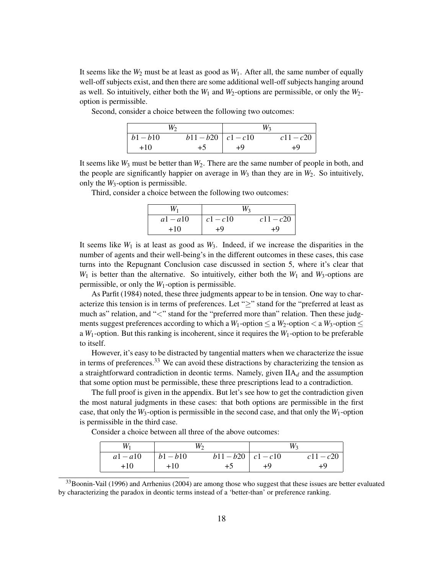It seems like the *W*<sup>2</sup> must be at least as good as *W*1. After all, the same number of equally well-off subjects exist, and then there are some additional well-off subjects hanging around as well. So intuitively, either both the  $W_1$  and  $W_2$ -options are permissible, or only the  $W_2$ option is permissible.

Second, consider a choice between the following two outcomes:

|           | W,                   |    | W2          |
|-----------|----------------------|----|-------------|
| $ b1-b10$ | $b11-b20$   $c1-c10$ |    | $c11 - c20$ |
| $+10^{-}$ |                      | +9 |             |

It seems like *W*<sup>3</sup> must be better than *W*2. There are the same number of people in both, and the people are significantly happier on average in  $W_3$  than they are in  $W_2$ . So intuitively, only the *W*3-option is permissible.

Third, consider a choice between the following two outcomes:

| W,         |            | $W_3$ |             |
|------------|------------|-------|-------------|
| $a1 - a10$ | $c1 - c10$ |       | $c11 - c20$ |
| $+10$      | +9         |       | +9          |

It seems like  $W_1$  is at least as good as  $W_3$ . Indeed, if we increase the disparities in the number of agents and their well-being's in the different outcomes in these cases, this case turns into the Repugnant Conclusion case discussed in section 5, where it's clear that  $W_1$  is better than the alternative. So intuitively, either both the  $W_1$  and  $W_3$ -options are permissible, or only the *W*1-option is permissible.

As Parfit (1984) noted, these three judgments appear to be in tension. One way to characterize this tension is in terms of preferences. Let "≥" stand for the "preferred at least as much as" relation, and "<" stand for the "preferred more than" relation. Then these judgments suggest preferences according to which a  $W_1$ -option  $\leq$  a  $W_2$ -option  $\leq$  a  $W_3$ -option  $\leq$ a *W*1-option. But this ranking is incoherent, since it requires the *W*1-option to be preferable to itself.

However, it's easy to be distracted by tangential matters when we characterize the issue in terms of preferences.<sup>33</sup> We can avoid these distractions by characterizing the tension as a straightforward contradiction in deontic terms. Namely, given IIA*<sup>d</sup>* and the assumption that some option must be permissible, these three prescriptions lead to a contradiction.

The full proof is given in the appendix. But let's see how to get the contradiction given the most natural judgments in these cases: that both options are permissible in the first case, that only the *W*3-option is permissible in the second case, and that only the *W*1-option is permissible in the third case.

Consider a choice between all three of the above outcomes:

| $\,W_1$    |          | W,                   |    | W2          |
|------------|----------|----------------------|----|-------------|
| $a1 - a10$ | $b1-b10$ | $b11-b20$   $c1-c10$ |    | $c11 - c20$ |
| $+10$      | $+10$    | $+5$                 | +9 | +9          |

<sup>33</sup>Boonin-Vail (1996) and Arrhenius (2004) are among those who suggest that these issues are better evaluated by characterizing the paradox in deontic terms instead of a 'better-than' or preference ranking.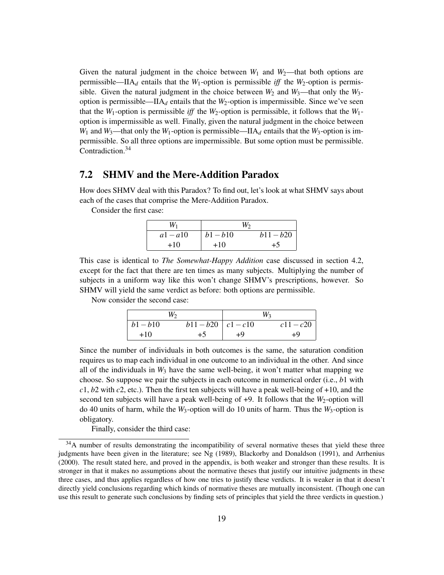Given the natural judgment in the choice between  $W_1$  and  $W_2$ —that both options are permissible—IIA<sub>d</sub> entails that the  $W_1$ -option is permissible *iff* the  $W_2$ -option is permissible. Given the natural judgment in the choice between  $W_2$  and  $W_3$ —that only the  $W_3$ option is permissible—IIA<sub>d</sub> entails that the  $W_2$ -option is impermissible. Since we've seen that the  $W_1$ -option is permissible *iff* the  $W_2$ -option is permissible, it follows that the  $W_1$ option is impermissible as well. Finally, given the natural judgment in the choice between  $W_1$  and  $W_3$ —that only the  $W_1$ -option is permissible—IIA<sub>d</sub> entails that the  $W_3$ -option is impermissible. So all three options are impermissible. But some option must be permissible. Contradiction.<sup>34</sup>

#### 7.2 SHMV and the Mere-Addition Paradox

How does SHMV deal with this Paradox? To find out, let's look at what SHMV says about each of the cases that comprise the Mere-Addition Paradox.

Consider the first case:

|            |            | W, |             |
|------------|------------|----|-------------|
| $a1 - a10$ | $b1 - b10$ |    | $b11 - b20$ |
| $+10$      | $+10$      |    |             |

This case is identical to *The Somewhat-Happy Addition* case discussed in section 4.2, except for the fact that there are ten times as many subjects. Multiplying the number of subjects in a uniform way like this won't change SHMV's prescriptions, however. So SHMV will yield the same verdict as before: both options are permissible.

Now consider the second case:

|            | W,                   |    | W3          |
|------------|----------------------|----|-------------|
| $b1 - b10$ | $b11-b20$   $c1-c10$ |    | $c11 - c20$ |
| $+10$      |                      | +9 | +9          |

Since the number of individuals in both outcomes is the same, the saturation condition requires us to map each individual in one outcome to an individual in the other. And since all of the individuals in  $W_3$  have the same well-being, it won't matter what mapping we choose. So suppose we pair the subjects in each outcome in numerical order (i.e., *b*1 with *c*1, *b*2 with *c*2, etc.). Then the first ten subjects will have a peak well-being of +10, and the second ten subjects will have a peak well-being of  $+9$ . It follows that the  $W_2$ -option will do 40 units of harm, while the *W*3-option will do 10 units of harm. Thus the *W*3-option is obligatory.

Finally, consider the third case:

<sup>&</sup>lt;sup>34</sup>A number of results demonstrating the incompatibility of several normative theses that yield these three judgments have been given in the literature; see Ng (1989), Blackorby and Donaldson (1991), and Arrhenius (2000). The result stated here, and proved in the appendix, is both weaker and stronger than these results. It is stronger in that it makes no assumptions about the normative theses that justify our intuitive judgments in these three cases, and thus applies regardless of how one tries to justify these verdicts. It is weaker in that it doesn't directly yield conclusions regarding which kinds of normative theses are mutually inconsistent. (Though one can use this result to generate such conclusions by finding sets of principles that yield the three verdicts in question.)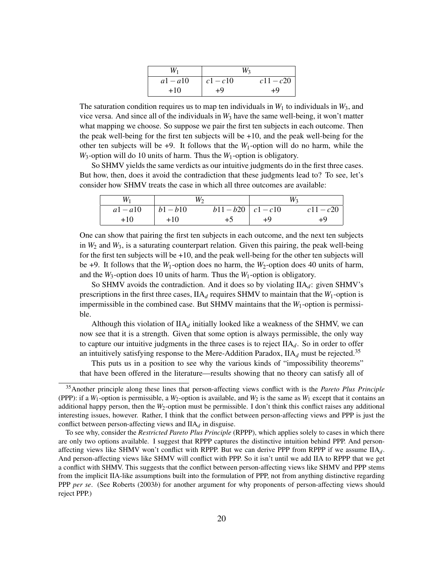| $W_1$      |            | $W_3$       |
|------------|------------|-------------|
| $a1 - a10$ | $c1 - c10$ | $c11 - c20$ |
| $+10$      | +9         | +9          |

The saturation condition requires us to map ten individuals in  $W_1$  to individuals in  $W_3$ , and vice versa. And since all of the individuals in  $W_3$  have the same well-being, it won't matter what mapping we choose. So suppose we pair the first ten subjects in each outcome. Then the peak well-being for the first ten subjects will be  $+10$ , and the peak well-being for the other ten subjects will be  $+9$ . It follows that the  $W_1$ -option will do no harm, while the *W*3-option will do 10 units of harm. Thus the *W*1-option is obligatory.

So SHMV yields the same verdicts as our intuitive judgments do in the first three cases. But how, then, does it avoid the contradiction that these judgments lead to? To see, let's consider how SHMV treats the case in which all three outcomes are available:

| W,         |          | W,                   |      | W2          |
|------------|----------|----------------------|------|-------------|
| $a1 - a10$ | $b1-b10$ | $b11-b20$   $c1-c10$ |      | $c11 - c20$ |
| $+10$      | $+10$    | $+5$                 | $+9$ | +9          |

One can show that pairing the first ten subjects in each outcome, and the next ten subjects in  $W_2$  and  $W_3$ , is a saturating counterpart relation. Given this pairing, the peak well-being for the first ten subjects will be  $+10$ , and the peak well-being for the other ten subjects will be +9. It follows that the *W*1-option does no harm, the *W*2-option does 40 units of harm, and the *W*3-option does 10 units of harm. Thus the *W*1-option is obligatory.

So SHMV avoids the contradiction. And it does so by violating IIA<sub>d</sub>: given SHMV's prescriptions in the first three cases,  $IIA_d$  requires SHMV to maintain that the  $W_1$ -option is impermissible in the combined case. But SHMV maintains that the *W*1-option is permissible.

Although this violation of  $IIA_d$  initially looked like a weakness of the SHMV, we can now see that it is a strength. Given that some option is always permissible, the only way to capture our intuitive judgments in the three cases is to reject  $\text{IIA}_d$ . So in order to offer an intuitively satisfying response to the Mere-Addition Paradox,  $IIA_d$  must be rejected.<sup>35</sup>

This puts us in a position to see why the various kinds of "impossibility theorems" that have been offered in the literature—results showing that no theory can satisfy all of

<sup>35</sup>Another principle along these lines that person-affecting views conflict with is the *Pareto Plus Principle* (PPP): if a  $W_1$ -option is permissible, a  $W_2$ -option is available, and  $W_2$  is the same as  $W_1$  except that it contains an additional happy person, then the *W*2-option must be permissible. I don't think this conflict raises any additional interesting issues, however. Rather, I think that the conflict between person-affecting views and PPP is just the conflict between person-affecting views and IIA*<sup>d</sup>* in disguise.

To see why, consider the *Restricted Pareto Plus Principle* (RPPP), which applies solely to cases in which there are only two options available. I suggest that RPPP captures the distinctive intuition behind PPP. And personaffecting views like SHMV won't conflict with RPPP. But we can derive PPP from RPPP if we assume IIA*d*. And person-affecting views like SHMV will conflict with PPP. So it isn't until we add IIA to RPPP that we get a conflict with SHMV. This suggests that the conflict between person-affecting views like SHMV and PPP stems from the implicit IIA-like assumptions built into the formulation of PPP, not from anything distinctive regarding PPP *per se*. (See Roberts (2003*b*) for another argument for why proponents of person-affecting views should reject PPP.)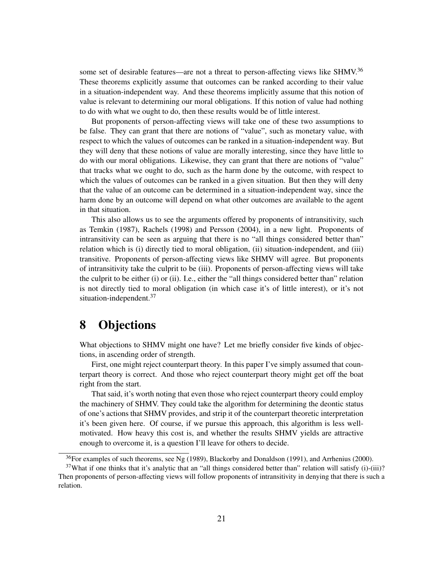some set of desirable features—are not a threat to person-affecting views like SHMV.<sup>36</sup> These theorems explicitly assume that outcomes can be ranked according to their value in a situation-independent way. And these theorems implicitly assume that this notion of value is relevant to determining our moral obligations. If this notion of value had nothing to do with what we ought to do, then these results would be of little interest.

But proponents of person-affecting views will take one of these two assumptions to be false. They can grant that there are notions of "value", such as monetary value, with respect to which the values of outcomes can be ranked in a situation-independent way. But they will deny that these notions of value are morally interesting, since they have little to do with our moral obligations. Likewise, they can grant that there are notions of "value" that tracks what we ought to do, such as the harm done by the outcome, with respect to which the values of outcomes can be ranked in a given situation. But then they will deny that the value of an outcome can be determined in a situation-independent way, since the harm done by an outcome will depend on what other outcomes are available to the agent in that situation.

This also allows us to see the arguments offered by proponents of intransitivity, such as Temkin (1987), Rachels (1998) and Persson (2004), in a new light. Proponents of intransitivity can be seen as arguing that there is no "all things considered better than" relation which is (i) directly tied to moral obligation, (ii) situation-independent, and (iii) transitive. Proponents of person-affecting views like SHMV will agree. But proponents of intransitivity take the culprit to be (iii). Proponents of person-affecting views will take the culprit to be either (i) or (ii). I.e., either the "all things considered better than" relation is not directly tied to moral obligation (in which case it's of little interest), or it's not situation-independent.<sup>37</sup>

## 8 Objections

What objections to SHMV might one have? Let me briefly consider five kinds of objections, in ascending order of strength.

First, one might reject counterpart theory. In this paper I've simply assumed that counterpart theory is correct. And those who reject counterpart theory might get off the boat right from the start.

That said, it's worth noting that even those who reject counterpart theory could employ the machinery of SHMV. They could take the algorithm for determining the deontic status of one's actions that SHMV provides, and strip it of the counterpart theoretic interpretation it's been given here. Of course, if we pursue this approach, this algorithm is less wellmotivated. How heavy this cost is, and whether the results SHMV yields are attractive enough to overcome it, is a question I'll leave for others to decide.

<sup>&</sup>lt;sup>36</sup>For examples of such theorems, see Ng (1989), Blackorby and Donaldson (1991), and Arrhenius (2000).

<sup>&</sup>lt;sup>37</sup>What if one thinks that it's analytic that an "all things considered better than" relation will satisfy (i)-(iii)? Then proponents of person-affecting views will follow proponents of intransitivity in denying that there is such a relation.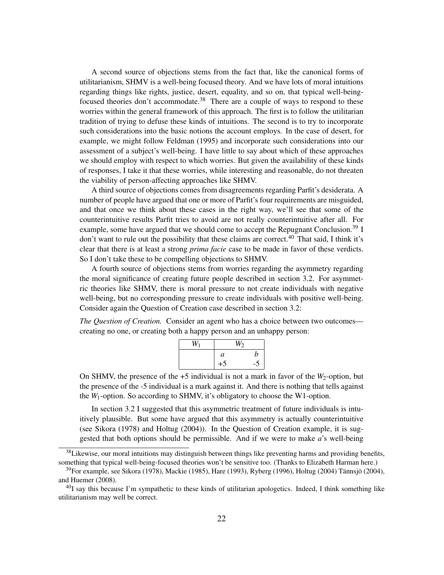A second source of objections stems from the fact that, like the canonical forms of utilitarianism, SHMV is a well-being focused theory. And we have lots of moral intuitions regarding things like rights, justice, desert, equality, and so on, that typical well-beingfocused theories don't accommodate.<sup>38</sup> There are a couple of ways to respond to these worries within the general framework of this approach. The first is to follow the utilitarian tradition of trying to defuse these kinds of intuitions. The second is to try to incorporate such considerations into the basic notions the account employs. In the case of desert, for example, we might follow Feldman (1995) and incorporate such considerations into our assessment of a subject's well-being. I have little to say about which of these approaches we should employ with respect to which worries. But given the availability of these kinds of responses, I take it that these worries, while interesting and reasonable, do not threaten the viability of person-affecting approaches like SHMV.

A third source of objections comes from disagreements regarding Parfit's desiderata. A number of people have argued that one or more of Parfit's four requirements are misguided, and that once we think about these cases in the right way, we'll see that some of the counterintuitive results Parfit tries to avoid are not really counterintuitive after all. For example, some have argued that we should come to accept the Repugnant Conclusion.<sup>39</sup> I don't want to rule out the possibility that these claims are correct.<sup>40</sup> That said, I think it's clear that there is at least a strong *prima facie* case to be made in favor of these verdicts. So I don't take these to be compelling objections to SHMV.

A fourth source of objections stems from worries regarding the asymmetry regarding the moral significance of creating future people described in section 3.2. For asymmetric theories like SHMV, there is moral pressure to not create individuals with negative well-being, but no corresponding pressure to create individuals with positive well-being. Consider again the Question of Creation case described in section 3.2:

*The Question of Creation.* Consider an agent who has a choice between two outcomes creating no one, or creating both a happy person and an unhappy person:

| $W_1$ | $W_2$ |   |
|-------|-------|---|
|       | a     | h |
|       | $+5$  |   |

On SHMV, the presence of the +5 individual is not a mark in favor of the *W*<sub>2</sub>-option, but the presence of the -5 individual is a mark against it. And there is nothing that tells against the *W*1-option. So according to SHMV, it's obligatory to choose the W1-option.

In section 3.2 I suggested that this asymmetric treatment of future individuals is intuitively plausible. But some have argued that this asymmetry is actually counterintuitive (see Sikora (1978) and Holtug (2004)). In the Question of Creation example, it is suggested that both options should be permissible. And if we were to make *a*'s well-being

<sup>&</sup>lt;sup>38</sup>Likewise, our moral intuitions may distinguish between things like preventing harms and providing benefits, something that typical well-being-focused theories won't be sensitive too. (Thanks to Elizabeth Harman here.)

 $39$ For example, see Sikora (1978), Mackie (1985), Hare (1993), Ryberg (1996), Holtug (2004) Tännsjö (2004), and Huemer (2008).

 $^{40}$ I say this because I'm sympathetic to these kinds of utilitarian apologetics. Indeed, I think something like utilitarianism may well be correct.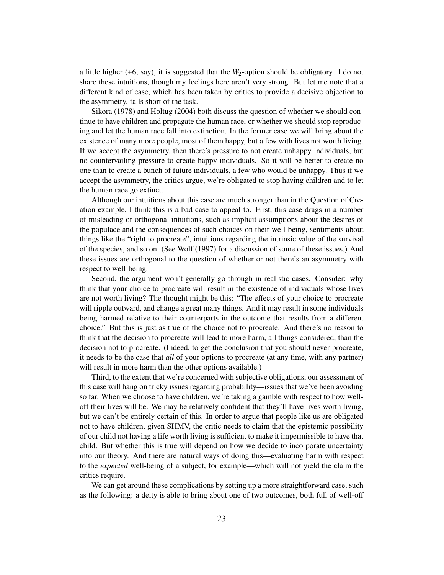a little higher (+6, say), it is suggested that the *W*2-option should be obligatory. I do not share these intuitions, though my feelings here aren't very strong. But let me note that a different kind of case, which has been taken by critics to provide a decisive objection to the asymmetry, falls short of the task.

Sikora (1978) and Holtug (2004) both discuss the question of whether we should continue to have children and propagate the human race, or whether we should stop reproducing and let the human race fall into extinction. In the former case we will bring about the existence of many more people, most of them happy, but a few with lives not worth living. If we accept the asymmetry, then there's pressure to not create unhappy individuals, but no countervailing pressure to create happy individuals. So it will be better to create no one than to create a bunch of future individuals, a few who would be unhappy. Thus if we accept the asymmetry, the critics argue, we're obligated to stop having children and to let the human race go extinct.

Although our intuitions about this case are much stronger than in the Question of Creation example, I think this is a bad case to appeal to. First, this case drags in a number of misleading or orthogonal intuitions, such as implicit assumptions about the desires of the populace and the consequences of such choices on their well-being, sentiments about things like the "right to procreate", intuitions regarding the intrinsic value of the survival of the species, and so on. (See Wolf (1997) for a discussion of some of these issues.) And these issues are orthogonal to the question of whether or not there's an asymmetry with respect to well-being.

Second, the argument won't generally go through in realistic cases. Consider: why think that your choice to procreate will result in the existence of individuals whose lives are not worth living? The thought might be this: "The effects of your choice to procreate will ripple outward, and change a great many things. And it may result in some individuals being harmed relative to their counterparts in the outcome that results from a different choice." But this is just as true of the choice not to procreate. And there's no reason to think that the decision to procreate will lead to more harm, all things considered, than the decision not to procreate. (Indeed, to get the conclusion that you should never procreate, it needs to be the case that *all* of your options to procreate (at any time, with any partner) will result in more harm than the other options available.)

Third, to the extent that we're concerned with subjective obligations, our assessment of this case will hang on tricky issues regarding probability—issues that we've been avoiding so far. When we choose to have children, we're taking a gamble with respect to how welloff their lives will be. We may be relatively confident that they'll have lives worth living, but we can't be entirely certain of this. In order to argue that people like us are obligated not to have children, given SHMV, the critic needs to claim that the epistemic possibility of our child not having a life worth living is sufficient to make it impermissible to have that child. But whether this is true will depend on how we decide to incorporate uncertainty into our theory. And there are natural ways of doing this—evaluating harm with respect to the *expected* well-being of a subject, for example—which will not yield the claim the critics require.

We can get around these complications by setting up a more straightforward case, such as the following: a deity is able to bring about one of two outcomes, both full of well-off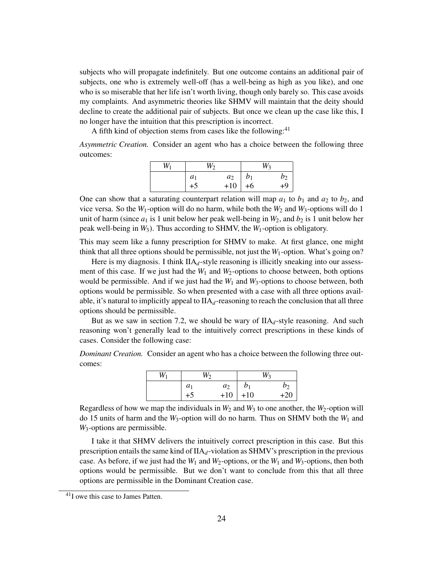subjects who will propagate indefinitely. But one outcome contains an additional pair of subjects, one who is extremely well-off (has a well-being as high as you like), and one who is so miserable that her life isn't worth living, though only barely so. This case avoids my complaints. And asymmetric theories like SHMV will maintain that the deity should decline to create the additional pair of subjects. But once we clean up the case like this, I no longer have the intuition that this prescription is incorrect.

A fifth kind of objection stems from cases like the following: $41$ 

*Asymmetric Creation.* Consider an agent who has a choice between the following three outcomes:

| $W_1$ |       | W,       |                | W3             |
|-------|-------|----------|----------------|----------------|
|       | $a_1$ | $a_2$    | b <sub>1</sub> | b <sub>2</sub> |
|       | $+5$  | $+10$ +6 |                | +9             |

One can show that a saturating counterpart relation will map  $a_1$  to  $b_1$  and  $a_2$  to  $b_2$ , and vice versa. So the  $W_1$ -option will do no harm, while both the  $W_2$  and  $W_3$ -options will do 1 unit of harm (since  $a_1$  is 1 unit below her peak well-being in  $W_2$ , and  $b_2$  is 1 unit below her peak well-being in *W*3). Thus according to SHMV, the *W*1-option is obligatory.

This may seem like a funny prescription for SHMV to make. At first glance, one might think that all three options should be permissible, not just the *W*1-option. What's going on?

Here is my diagnosis. I think  $\text{IIA}_d$ -style reasoning is illicitly sneaking into our assessment of this case. If we just had the  $W_1$  and  $W_2$ -options to choose between, both options would be permissible. And if we just had the *W*<sup>1</sup> and *W*3-options to choose between, both options would be permissible. So when presented with a case with all three options available, it's natural to implicitly appeal to IIA*d*-reasoning to reach the conclusion that all three options should be permissible.

But as we saw in section 7.2, we should be wary of  $IIA_d$ -style reasoning. And such reasoning won't generally lead to the intuitively correct prescriptions in these kinds of cases. Consider the following case:

*Dominant Creation.* Consider an agent who has a choice between the following three outcomes:

| $W_1$ |       | W, |           |       | W3 |                |
|-------|-------|----|-----------|-------|----|----------------|
|       | $a_1$ |    | $a_2$     | $b_1$ |    | b <sub>2</sub> |
|       | τJ    |    | $+10^{-}$ | $+10$ |    | $+20$          |

Regardless of how we map the individuals in  $W_2$  and  $W_3$  to one another, the  $W_2$ -option will do 15 units of harm and the *W*3-option will do no harm. Thus on SHMV both the *W*<sup>1</sup> and *W*3-options are permissible.

I take it that SHMV delivers the intuitively correct prescription in this case. But this prescription entails the same kind of IIA<sub>d</sub>-violation as SHMV's prescription in the previous case. As before, if we just had the  $W_1$  and  $W_2$ -options, or the  $W_1$  and  $W_3$ -options, then both options would be permissible. But we don't want to conclude from this that all three options are permissible in the Dominant Creation case.

 $^{41}$ I owe this case to James Patten.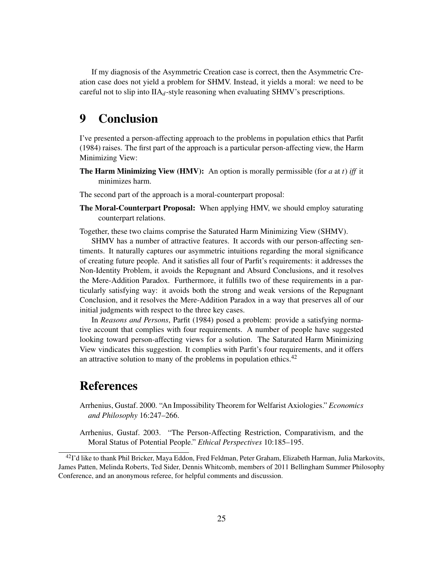If my diagnosis of the Asymmetric Creation case is correct, then the Asymmetric Creation case does not yield a problem for SHMV. Instead, it yields a moral: we need to be careful not to slip into IIA*d*-style reasoning when evaluating SHMV's prescriptions.

### 9 Conclusion

I've presented a person-affecting approach to the problems in population ethics that Parfit (1984) raises. The first part of the approach is a particular person-affecting view, the Harm Minimizing View:

The Harm Minimizing View (HMV): An option is morally permissible (for *a* at *t*) *iff* it minimizes harm.

The second part of the approach is a moral-counterpart proposal:

The Moral-Counterpart Proposal: When applying HMV, we should employ saturating counterpart relations.

Together, these two claims comprise the Saturated Harm Minimizing View (SHMV).

SHMV has a number of attractive features. It accords with our person-affecting sentiments. It naturally captures our asymmetric intuitions regarding the moral significance of creating future people. And it satisfies all four of Parfit's requirements: it addresses the Non-Identity Problem, it avoids the Repugnant and Absurd Conclusions, and it resolves the Mere-Addition Paradox. Furthermore, it fulfills two of these requirements in a particularly satisfying way: it avoids both the strong and weak versions of the Repugnant Conclusion, and it resolves the Mere-Addition Paradox in a way that preserves all of our initial judgments with respect to the three key cases.

In *Reasons and Persons*, Parfit (1984) posed a problem: provide a satisfying normative account that complies with four requirements. A number of people have suggested looking toward person-affecting views for a solution. The Saturated Harm Minimizing View vindicates this suggestion. It complies with Parfit's four requirements, and it offers an attractive solution to many of the problems in population ethics.<sup>42</sup>

### References

Arrhenius, Gustaf. 2000. "An Impossibility Theorem for Welfarist Axiologies." *Economics and Philosophy* 16:247–266.

Arrhenius, Gustaf. 2003. "The Person-Affecting Restriction, Comparativism, and the Moral Status of Potential People." *Ethical Perspectives* 10:185–195.

<sup>&</sup>lt;sup>42</sup>I'd like to thank Phil Bricker, Maya Eddon, Fred Feldman, Peter Graham, Elizabeth Harman, Julia Markovits, James Patten, Melinda Roberts, Ted Sider, Dennis Whitcomb, members of 2011 Bellingham Summer Philosophy Conference, and an anonymous referee, for helpful comments and discussion.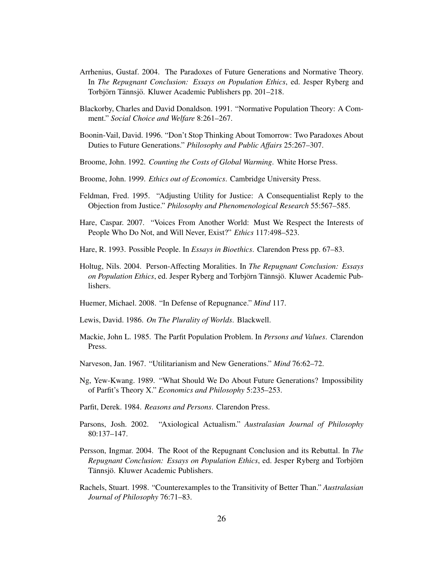- Arrhenius, Gustaf. 2004. The Paradoxes of Future Generations and Normative Theory. In *The Repugnant Conclusion: Essays on Population Ethics*, ed. Jesper Ryberg and Torbjörn Tännsjö. Kluwer Academic Publishers pp. 201–218.
- Blackorby, Charles and David Donaldson. 1991. "Normative Population Theory: A Comment." *Social Choice and Welfare* 8:261–267.
- Boonin-Vail, David. 1996. "Don't Stop Thinking About Tomorrow: Two Paradoxes About Duties to Future Generations." *Philosophy and Public Affairs* 25:267–307.
- Broome, John. 1992. *Counting the Costs of Global Warming*. White Horse Press.
- Broome, John. 1999. *Ethics out of Economics*. Cambridge University Press.
- Feldman, Fred. 1995. "Adjusting Utility for Justice: A Consequentialist Reply to the Objection from Justice." *Philosophy and Phenomenological Research* 55:567–585.
- Hare, Caspar. 2007. "Voices From Another World: Must We Respect the Interests of People Who Do Not, and Will Never, Exist?" *Ethics* 117:498–523.
- Hare, R. 1993. Possible People. In *Essays in Bioethics*. Clarendon Press pp. 67–83.
- Holtug, Nils. 2004. Person-Affecting Moralities. In *The Repugnant Conclusion: Essays on Population Ethics*, ed. Jesper Ryberg and Torbjörn Tännsjö. Kluwer Academic Publishers.
- Huemer, Michael. 2008. "In Defense of Repugnance." *Mind* 117.
- Lewis, David. 1986. *On The Plurality of Worlds*. Blackwell.
- Mackie, John L. 1985. The Parfit Population Problem. In *Persons and Values*. Clarendon Press.
- Narveson, Jan. 1967. "Utilitarianism and New Generations." *Mind* 76:62–72.
- Ng, Yew-Kwang. 1989. "What Should We Do About Future Generations? Impossibility of Parfit's Theory X." *Economics and Philosophy* 5:235–253.
- Parfit, Derek. 1984. *Reasons and Persons*. Clarendon Press.
- Parsons, Josh. 2002. "Axiological Actualism." *Australasian Journal of Philosophy* 80:137–147.
- Persson, Ingmar. 2004. The Root of the Repugnant Conclusion and its Rebuttal. In *The Repugnant Conclusion: Essays on Population Ethics*, ed. Jesper Ryberg and Torbjorn ¨ Tännsjö. Kluwer Academic Publishers.
- Rachels, Stuart. 1998. "Counterexamples to the Transitivity of Better Than." *Australasian Journal of Philosophy* 76:71–83.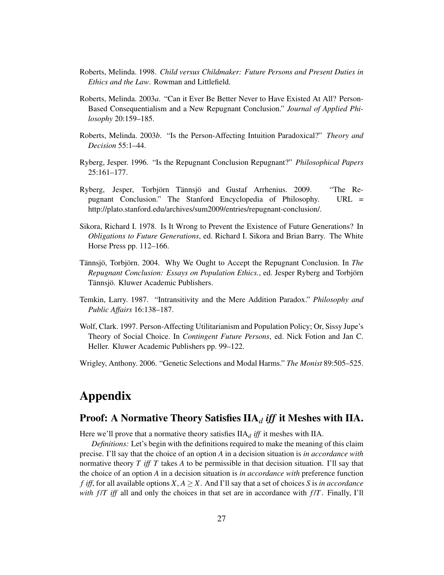- Roberts, Melinda. 1998. *Child versus Childmaker: Future Persons and Present Duties in Ethics and the Law*. Rowman and Littlefield.
- Roberts, Melinda. 2003*a*. "Can it Ever Be Better Never to Have Existed At All? Person-Based Consequentialism and a New Repugnant Conclusion." *Journal of Applied Philosophy* 20:159–185.
- Roberts, Melinda. 2003*b*. "Is the Person-Affecting Intuition Paradoxical?" *Theory and Decision* 55:1–44.
- Ryberg, Jesper. 1996. "Is the Repugnant Conclusion Repugnant?" *Philosophical Papers* 25:161–177.
- Ryberg, Jesper, Torbjörn Tännsjö and Gustaf Arrhenius. 2009. "The Repugnant Conclusion." The Stanford Encyclopedia of Philosophy. URL = http://plato.stanford.edu/archives/sum2009/entries/repugnant-conclusion/.
- Sikora, Richard I. 1978. Is It Wrong to Prevent the Existence of Future Generations? In *Obligations to Future Generations*, ed. Richard I. Sikora and Brian Barry. The White Horse Press pp. 112–166.
- Tännsjö, Torbjörn. 2004. Why We Ought to Accept the Repugnant Conclusion. In *The Repugnant Conclusion: Essays on Population Ethics.*, ed. Jesper Ryberg and Torbjörn Tännsjö. Kluwer Academic Publishers.
- Temkin, Larry. 1987. "Intransitivity and the Mere Addition Paradox." *Philosophy and Public Affairs* 16:138–187.
- Wolf, Clark. 1997. Person-Affecting Utilitarianism and Population Policy; Or, Sissy Jupe's Theory of Social Choice. In *Contingent Future Persons*, ed. Nick Fotion and Jan C. Heller. Kluwer Academic Publishers pp. 99–122.
- Wrigley, Anthony. 2006. "Genetic Selections and Modal Harms." *The Monist* 89:505–525.

## Appendix

#### Proof: A Normative Theory Satisfies IIA<sub>d</sub> *iff* it Meshes with IIA.

Here we'll prove that a normative theory satisfies  $IIA_d$  *iff* it meshes with IIA.

*Definitions:* Let's begin with the definitions required to make the meaning of this claim precise. I'll say that the choice of an option *A* in a decision situation is *in accordance with* normative theory *T iff T* takes *A* to be permissible in that decision situation. I'll say that the choice of an option *A* in a decision situation is *in accordance with* preference function *f iff*, for all available options  $X, A \geq X$ . And I'll say that a set of choices *S* is *in accordance with f* /*T* if f all and only the choices in that set are in accordance with *f* /*T*. Finally, I'll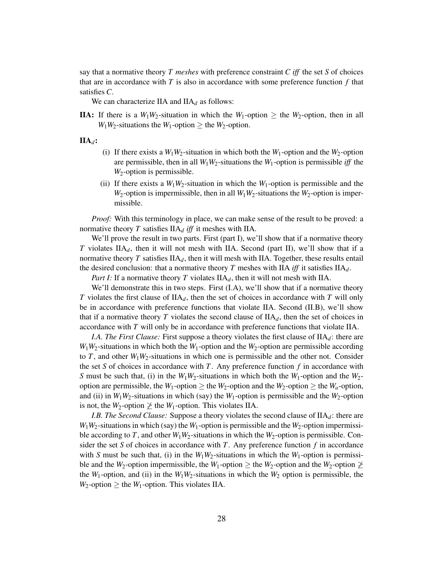say that a normative theory *T meshes* with preference constraint *C iff* the set *S* of choices that are in accordance with *T* is also in accordance with some preference function *f* that satisfies *C*.

We can characterize IIA and IIA<sub>d</sub> as follows:

**IIA:** If there is a  $W_1W_2$ -situation in which the  $W_1$ -option  $\geq$  the  $W_2$ -option, then in all  $W_1W_2$ -situations the  $W_1$ -option  $\geq$  the  $W_2$ -option.

IIA*d*:

- (i) If there exists a  $W_1W_2$ -situation in which both the  $W_1$ -option and the  $W_2$ -option are permissible, then in all  $W_1W_2$ -situations the  $W_1$ -option is permissible *iff* the *W*2-option is permissible.
- (ii) If there exists a  $W_1W_2$ -situation in which the  $W_1$ -option is permissible and the  $W_2$ -option is impermissible, then in all  $W_1W_2$ -situations the  $W_2$ -option is impermissible.

*Proof:* With this terminology in place, we can make sense of the result to be proved: a normative theory *T* satisfies  $\text{IIA}_d$  *iff* it meshes with IIA.

We'll prove the result in two parts. First (part I), we'll show that if a normative theory *T* violates IIA*d*, then it will not mesh with IIA. Second (part II), we'll show that if a normative theory *T* satisfies IIA*d*, then it will mesh with IIA. Together, these results entail the desired conclusion: that a normative theory *T* meshes with IIA *iff* it satisfies  $IIA_d$ .

*Part I:* If a normative theory *T* violates  $IIA_d$ , then it will not mesh with IIA.

We'll demonstrate this in two steps. First (I.A), we'll show that if a normative theory *T* violates the first clause of IIA*d*, then the set of choices in accordance with *T* will only be in accordance with preference functions that violate IIA. Second (II.B), we'll show that if a normative theory *T* violates the second clause of  $IIA_d$ , then the set of choices in accordance with *T* will only be in accordance with preference functions that violate IIA.

*I.A. The First Clause:* First suppose a theory violates the first clause of IIA<sub>d</sub>: there are *W*1*W*2-situations in which both the *W*1-option and the *W*2-option are permissible according to  $T$ , and other  $W_1W_2$ -situations in which one is permissible and the other not. Consider the set *S* of choices in accordance with *T*. Any preference function  $f$  in accordance with *S* must be such that, (i) in the  $W_1W_2$ -situations in which both the  $W_1$ -option and the  $W_2$ option are permissible, the *W*<sub>1</sub>-option  $\geq$  the *W*<sub>2</sub>-option and the *W*<sub>2</sub>-option  $\geq$  the *W*<sub>*a*</sub>-option, and (ii) in  $W_1W_2$ -situations in which (say) the  $W_1$ -option is permissible and the  $W_2$ -option is not, the *W*<sub>2</sub>-option  $\Sigma$  the *W*<sub>1</sub>-option. This violates IIA.

*I.B. The Second Clause:* Suppose a theory violates the second clause of IIA<sub>d</sub>: there are  $W_1W_2$ -situations in which (say) the  $W_1$ -option is permissible and the  $W_2$ -option impermissible according to *T*, and other  $W_1W_2$ -situations in which the  $W_2$ -option is permissible. Consider the set *S* of choices in accordance with *T*. Any preference function  $f$  in accordance with *S* must be such that, (i) in the  $W_1W_2$ -situations in which the  $W_1$ -option is permissible and the *W*<sub>2</sub>-option impermissible, the *W*<sub>1</sub>-option  $\geq$  the *W*<sub>2</sub>-option and the *W*<sub>2</sub>-option  $\ngeq$ the  $W_1$ -option, and (ii) in the  $W_1W_2$ -situations in which the  $W_2$  option is permissible, the  $W_2$ -option  $\geq$  the  $W_1$ -option. This violates IIA.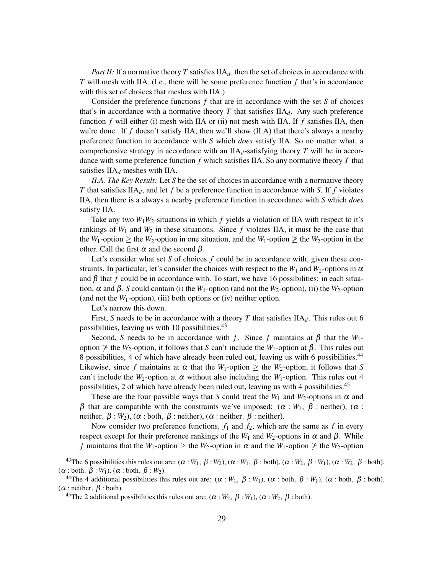*Part II:* If a normative theory *T* satisfies  $IIA_d$ , then the set of choices in accordance with *T* will mesh with IIA. (I.e., there will be some preference function *f* that's in accordance with this set of choices that meshes with IIA.)

Consider the preference functions *f* that are in accordance with the set *S* of choices that's in accordance with a normative theory  $T$  that satisfies  $IIA_d$ . Any such preference function *f* will either (i) mesh with IIA or (ii) not mesh with IIA. If *f* satisfies IIA, then we're done. If *f* doesn't satisfy IIA, then we'll show (II.A) that there's always a nearby preference function in accordance with *S* which *does* satisfy IIA. So no matter what, a comprehensive strategy in accordance with an  $\text{IIA}_d$ -satisfying theory *T* will be in accordance with some preference function *f* which satisfies IIA. So any normative theory *T* that satisfies IIA*<sup>d</sup>* meshes with IIA.

*II.A. The Key Result:* Let *S* be the set of choices in accordance with a normative theory *T* that satisfies IIA*d*, and let *f* be a preference function in accordance with *S*. If *f* violates IIA, then there is a always a nearby preference function in accordance with *S* which *does* satisfy IIA.

Take any two  $W_1W_2$ -situations in which f yields a violation of IIA with respect to it's rankings of  $W_1$  and  $W_2$  in these situations. Since f violates IIA, it must be the case that the *W*<sub>1</sub>-option  $\geq$  the *W*<sub>2</sub>-option in one situation, and the *W*<sub>1</sub>-option  $\ngeq$  the *W*<sub>2</sub>-option in the other. Call the first  $\alpha$  and the second  $\beta$ .

Let's consider what set *S* of choices *f* could be in accordance with, given these constraints. In particular, let's consider the choices with respect to the  $W_1$  and  $W_2$ -options in  $\alpha$ and  $\beta$  that  $f$  could be in accordance with. To start, we have 16 possibilities: in each situation,  $\alpha$  and  $\beta$ , *S* could contain (i) the *W*<sub>1</sub>-option (and not the *W*<sub>2</sub>-option), (ii) the *W*<sub>2</sub>-option (and not the  $W_1$ -option), (iii) both options or (iv) neither option.

Let's narrow this down.

First, *S* needs to be in accordance with a theory *T* that satisfies  $IIA_d$ . This rules out 6 possibilities, leaving us with 10 possibilities. $43$ 

Second, *S* needs to be in accordance with *f*. Since *f* maintains at  $\beta$  that the  $W_1$ option  $\geq$  the *W*<sub>2</sub>-option, it follows that *S* can't include the *W*<sub>1</sub>-option at β. This rules out 8 possibilities, 4 of which have already been ruled out, leaving us with 6 possibilities.<sup>44</sup> Likewise, since f maintains at  $\alpha$  that the  $W_1$ -option  $\geq$  the  $W_2$ -option, it follows that S can't include the *W*<sub>2</sub>-option at  $\alpha$  without also including the *W*<sub>1</sub>-option. This rules out 4 possibilities, 2 of which have already been ruled out, leaving us with 4 possibilities.<sup>45</sup>

These are the four possible ways that *S* could treat the  $W_1$  and  $W_2$ -options in  $\alpha$  and β that are compatible with the constraints we've imposed:  $(α : W_1, β : neither)$ ,  $(α :$ neither,  $\beta : W_2$ ), ( $\alpha$  : both,  $\beta$  : neither), ( $\alpha$  : neither,  $\beta$  : neither).

Now consider two preference functions,  $f_1$  and  $f_2$ , which are the same as  $f$  in every respect except for their preference rankings of the  $W_1$  and  $W_2$ -options in α and β. While *f* maintains that the *W*<sub>1</sub>-option  $\geq$  the *W*<sub>2</sub>-option in  $\alpha$  and the *W*<sub>1</sub>-option  $\ngeq$  the *W*<sub>2</sub>-option

<sup>&</sup>lt;sup>43</sup>The 6 possibilities this rules out are:  $(\alpha : W_1, \beta : W_2)$ ,  $(\alpha : W_1, \beta : \text{both})$ ,  $(\alpha : W_2, \beta : W_1)$ ,  $(\alpha : W_2, \beta : \text{both})$ ,  $(\alpha : \text{both}, \beta : W_1), (\alpha : \text{both}, \beta : W_2).$ 

<sup>&</sup>lt;sup>44</sup>The 4 additional possibilities this rules out are:  $(\alpha : W_1, \beta : W_1)$ ,  $(\alpha : \text{both}, \beta : W_1)$ ,  $(\alpha : \text{both}, \beta : \text{both})$ , ( $\alpha$  : neither,  $\beta$  : both).

<sup>&</sup>lt;sup>45</sup>The 2 additional possibilities this rules out are:  $(\alpha : W_2, \beta : W_1)$ ,  $(\alpha : W_2, \beta : \text{both})$ .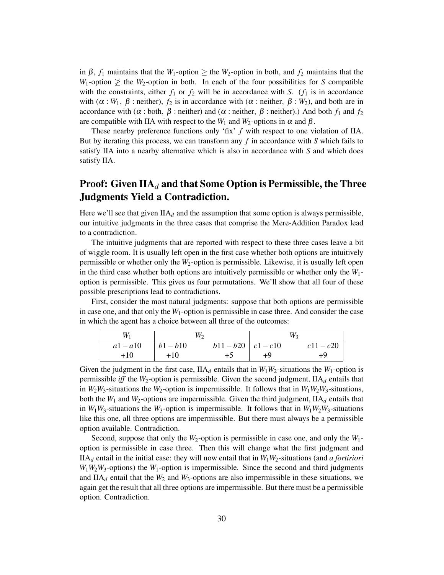in  $\beta$ ,  $f_1$  maintains that the  $W_1$ -option  $\geq$  the  $W_2$ -option in both, and  $f_2$  maintains that the *W*<sub>1</sub>-option  $\geq$  the *W*<sub>2</sub>-option in both. In each of the four possibilities for *S* compatible with the constraints, either  $f_1$  or  $f_2$  will be in accordance with *S*. ( $f_1$  is in accordance with  $(\alpha : W_1, \beta :$  neither),  $f_2$  is in accordance with  $(\alpha :$  neither,  $\beta : W_2$ ), and both are in accordance with ( $\alpha$  : both,  $\beta$  : neither) and ( $\alpha$  : neither,  $\beta$  : neither).) And both  $f_1$  and  $f_2$ are compatible with IIA with respect to the  $W_1$  and  $W_2$ -options in  $\alpha$  and  $\beta$ .

These nearby preference functions only 'fix' *f* with respect to one violation of IIA. But by iterating this process, we can transform any *f* in accordance with *S* which fails to satisfy IIA into a nearby alternative which is also in accordance with *S* and which does satisfy IIA.

### Proof: Given IIA<sub>d</sub> and that Some Option is Permissible, the Three Judgments Yield a Contradiction.

Here we'll see that given  $IIA_d$  and the assumption that some option is always permissible, our intuitive judgments in the three cases that comprise the Mere-Addition Paradox lead to a contradiction.

The intuitive judgments that are reported with respect to these three cases leave a bit of wiggle room. It is usually left open in the first case whether both options are intuitively permissible or whether only the *W*2-option is permissible. Likewise, it is usually left open in the third case whether both options are intuitively permissible or whether only the *W*1 option is permissible. This gives us four permutations. We'll show that all four of these possible prescriptions lead to contradictions.

First, consider the most natural judgments: suppose that both options are permissible in case one, and that only the *W*1-option is permissible in case three. And consider the case in which the agent has a choice between all three of the outcomes:

| W1         |            | W,                   |    | W2          |
|------------|------------|----------------------|----|-------------|
| $a1 - a10$ | $b1 - b10$ | $b11-b20$   $c1-c10$ |    | $c11 - c20$ |
| $+10$      | $+10$      | +:)                  | +9 | +9          |

Given the judgment in the first case,  $\text{IIA}_d$  entails that in  $W_1W_2$ -situations the  $W_1$ -option is permissible *iff* the  $W_2$ -option is permissible. Given the second judgment,  $\text{IIA}_d$  entails that in  $W_2W_3$ -situations the  $W_2$ -option is impermissible. It follows that in  $W_1W_2W_3$ -situations, both the  $W_1$  and  $W_2$ -options are impermissible. Given the third judgment,  $\text{IIA}_d$  entails that in  $W_1W_3$ -situations the  $W_3$ -option is impermissible. It follows that in  $W_1W_2W_3$ -situations like this one, all three options are impermissible. But there must always be a permissible option available. Contradiction.

Second, suppose that only the *W*<sub>2</sub>-option is permissible in case one, and only the *W*<sub>1</sub>option is permissible in case three. Then this will change what the first judgment and  $\text{IIA}_d$  entail in the initial case: they will now entail that in  $W_1W_2$ -situations (and *a fortiriori*)  $W_1W_2W_3$ -options) the  $W_1$ -option is impermissible. Since the second and third judgments and IIA<sub>d</sub> entail that the  $W_2$  and  $W_3$ -options are also impermissible in these situations, we again get the result that all three options are impermissible. But there must be a permissible option. Contradiction.